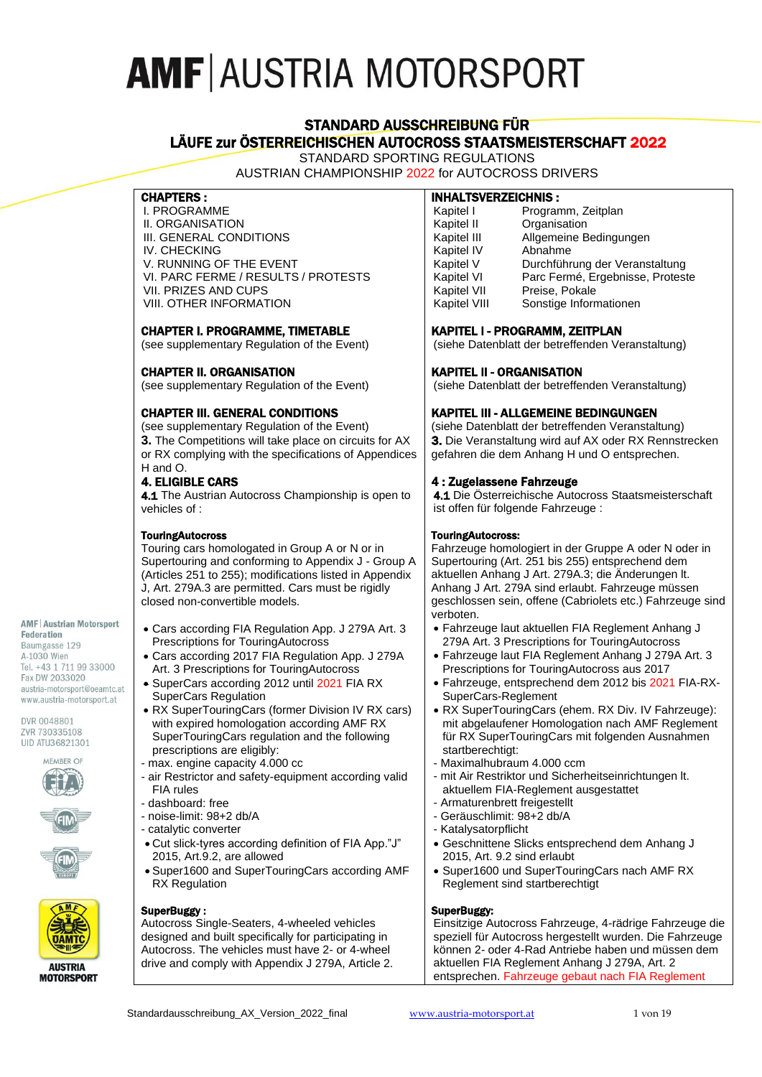# STANDARD AUSSCHREIBUNG FÜR LÄUFE zur ÖSTERREICHISCHEN AUTOCROSS STAATSMEISTERSCHAFT 2022

STANDARD SPORTING REGULATIONS AUSTRIAN CHAMPIONSHIP 2022 for AUTOCROSS DRIVERS

#### CHAPTERS :

I. PROGRAMME II. ORGANISATION III. GENERAL CONDITIONS IV. CHECKING V. RUNNING OF THE EVENT VI. PARC FERME / RESULTS / PROTESTS VII. PRIZES AND CUPS VIII. OTHER INFORMATION

### CHAPTER I. PROGRAMME, TIMETABLE

(see supplementary Regulation of the Event)

### CHAPTER II. ORGANISATION

(see supplementary Regulation of the Event)

### CHAPTER III. GENERAL CONDITIONS

(see supplementary Regulation of the Event) **3.** The Competitions will take place on circuits for AX or RX complying with the specifications of Appendices H and O.

### 4. ELIGIBLE CARS

4.1 The Austrian Autocross Championship is open to vehicles of :

#### **TouringAutocross**

Touring cars homologated in Group A or N or in Supertouring and conforming to Appendix J - Group A (Articles 251 to 255); modifications listed in Appendix J, Art. 279A.3 are permitted. Cars must be rigidly closed non-convertible models.

• Cars according FIA Regulation App. J 279A Art. 3

• Cars according 2017 FIA Regulation App. J 279A Art. 3 Prescriptions for TouringAutocross • SuperCars according 2012 until 2021 FIA RX

• RX SuperTouringCars (former Division IV RX cars) with expired homologation according AMF RX SuperTouringCars regulation and the following

- air Restrictor and safety-equipment according valid

• Cut slick-tyres according definition of FIA App."J"

• Super1600 and SuperTouringCars according AMF

Prescriptions for TouringAutocross

SuperCars Regulation

prescriptions are eligibly: - max. engine capacity 4.000 cc

2015, Art.9.2, are allowed

#### **AMF | Austrian Motorsport**

**Federation** Baumgasse 129 A-1030 Wien Tel. +43 1 711 99 33000 Fax DW 2033020 austria-motorsport@oeamtc.at www.austria-motorsport.at

DVR 0048801 ZVR 730335108 UID ATU36821301









#### SuperBuggy :

RX Regulation

FIA rules - dashboard: free - noise-limit: 98+2 db/A - catalytic converter

Autocross Single-Seaters, 4-wheeled vehicles designed and built specifically for participating in Autocross. The vehicles must have 2- or 4-wheel drive and comply with Appendix J 279A, Article 2.

# INHALTSVERZEICHNIS :

| Kapitel I    | Programm, Zeitplan               |
|--------------|----------------------------------|
| Kapitel II   | Organisation                     |
| Kapitel III  | Allgemeine Bedingungen           |
| Kapitel IV   | Abnahme                          |
| Kapitel V    | Durchführung der Veranstaltung   |
| Kapitel VI   | Parc Fermé, Ergebnisse, Proteste |
| Kapitel VII  | Preise, Pokale                   |
| Kapitel VIII | Sonstige Informationen           |

### KAPITEL I - PROGRAMM, ZEITPLAN

(siehe Datenblatt der betreffenden Veranstaltung)

### KAPITEL II - ORGANISATION

(siehe Datenblatt der betreffenden Veranstaltung)

### KAPITEL III - ALLGEMEINE BEDINGUNGEN

(siehe Datenblatt der betreffenden Veranstaltung) 3. Die Veranstaltung wird auf AX oder RX Rennstrecken gefahren die dem Anhang H und O entsprechen.

### 4 : Zugelassene Fahrzeuge

4.1 Die Österreichische Autocross Staatsmeisterschaft ist offen für folgende Fahrzeuge :

#### TouringAutocross:

Fahrzeuge homologiert in der Gruppe A oder N oder in Supertouring (Art. 251 bis 255) entsprechend dem aktuellen Anhang J Art. 279A.3; die Änderungen lt. Anhang J Art. 279A sind erlaubt. Fahrzeuge müssen geschlossen sein, offene (Cabriolets etc.) Fahrzeuge sind verboten.

- Fahrzeuge laut aktuellen FIA Reglement Anhang J 279A Art. 3 Prescriptions for TouringAutocross
- Fahrzeuge laut FIA Reglement Anhang J 279A Art. 3 Prescriptions for TouringAutocross aus 2017
- Fahrzeuge, entsprechend dem 2012 bis 2021 FIA-RX-SuperCars-Reglement
- RX SuperTouringCars (ehem. RX Div. IV Fahrzeuge): mit abgelaufener Homologation nach AMF Reglement für RX SuperTouringCars mit folgenden Ausnahmen startberechtigt:
- Maximalhubraum 4.000 ccm
- mit Air Restriktor und Sicherheitseinrichtungen It. aktuellem FIA-Reglement ausgestattet
- Armaturenbrett freigestellt
- Geräuschlimit: 98+2 db/A
- Katalysatorpflicht
- Geschnittene Slicks entsprechend dem Anhang J 2015, Art. 9.2 sind erlaubt
- Super1600 und SuperTouringCars nach AMF RX Reglement sind startberechtigt

#### SuperBuggy:

Einsitzige Autocross Fahrzeuge, 4-rädrige Fahrzeuge die speziell für Autocross hergestellt wurden. Die Fahrzeuge können 2- oder 4-Rad Antriebe haben und müssen dem aktuellen FIA Reglement Anhang J 279A, Art. 2 entsprechen. Fahrzeuge gebaut nach FIA Reglement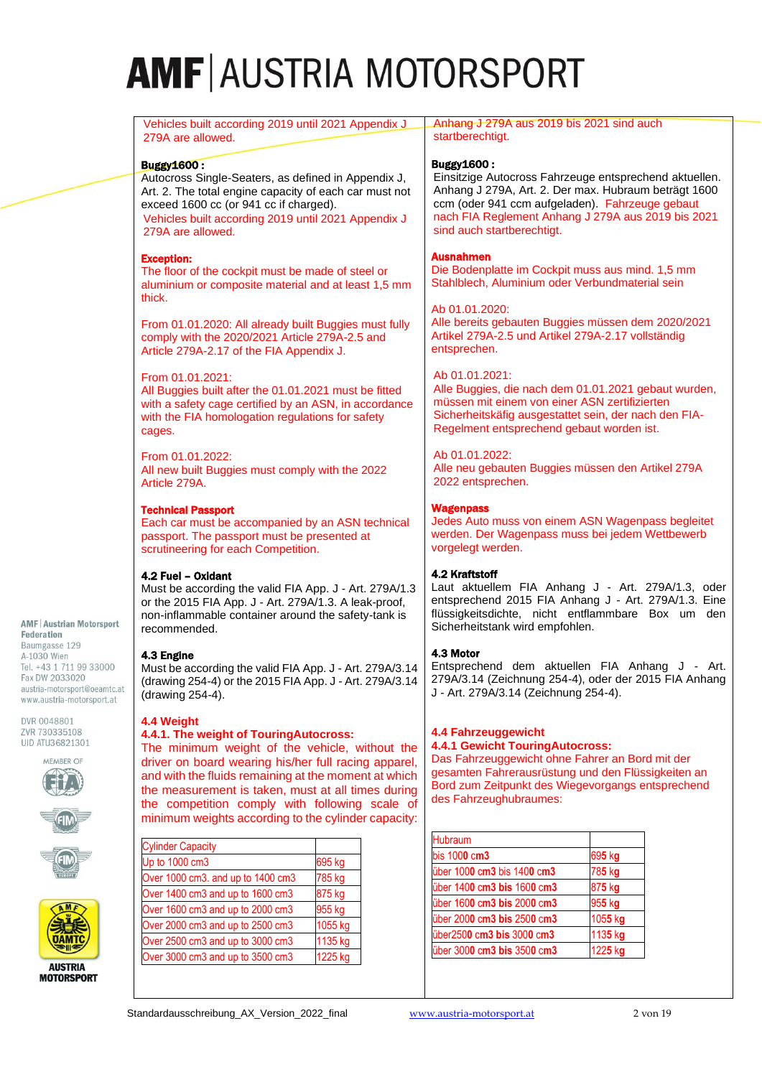| Vehicles built according 2019 until 2021 Appendix J                                                                                                                                                                                                                                                                                                                                   | Anhang J 279A aus 2019 bis 2021 sind auch                                                                                                                                                                                                             |  |  |  |  |
|---------------------------------------------------------------------------------------------------------------------------------------------------------------------------------------------------------------------------------------------------------------------------------------------------------------------------------------------------------------------------------------|-------------------------------------------------------------------------------------------------------------------------------------------------------------------------------------------------------------------------------------------------------|--|--|--|--|
| 279A are allowed.                                                                                                                                                                                                                                                                                                                                                                     | startberechtigt.                                                                                                                                                                                                                                      |  |  |  |  |
|                                                                                                                                                                                                                                                                                                                                                                                       |                                                                                                                                                                                                                                                       |  |  |  |  |
| <b>Buggy1600:</b>                                                                                                                                                                                                                                                                                                                                                                     | <b>Buggy1600:</b>                                                                                                                                                                                                                                     |  |  |  |  |
| Autocross Single-Seaters, as defined in Appendix J,                                                                                                                                                                                                                                                                                                                                   | Einsitzige Autocross Fahrzeuge entsprechend aktuellen.                                                                                                                                                                                                |  |  |  |  |
| Art. 2. The total engine capacity of each car must not                                                                                                                                                                                                                                                                                                                                | Anhang J 279A, Art. 2. Der max. Hubraum beträgt 1600                                                                                                                                                                                                  |  |  |  |  |
| exceed 1600 cc (or 941 cc if charged).                                                                                                                                                                                                                                                                                                                                                | ccm (oder 941 ccm aufgeladen). Fahrzeuge gebaut                                                                                                                                                                                                       |  |  |  |  |
| Vehicles built according 2019 until 2021 Appendix J                                                                                                                                                                                                                                                                                                                                   | nach FIA Reglement Anhang J 279A aus 2019 bis 2021                                                                                                                                                                                                    |  |  |  |  |
| 279A are allowed.                                                                                                                                                                                                                                                                                                                                                                     | sind auch startberechtigt.                                                                                                                                                                                                                            |  |  |  |  |
| <b>Exception:</b><br>The floor of the cockpit must be made of steel or<br>aluminium or composite material and at least 1,5 mm<br>thick.                                                                                                                                                                                                                                               | <b>Ausnahmen</b><br>Die Bodenplatte im Cockpit muss aus mind. 1,5 mm<br>Stahlblech, Aluminium oder Verbundmaterial sein                                                                                                                               |  |  |  |  |
| From 01.01.2020: All already built Buggies must fully<br>comply with the 2020/2021 Article 279A-2.5 and<br>Article 279A-2.17 of the FIA Appendix J.                                                                                                                                                                                                                                   | Ab 01.01.2020:<br>Alle bereits gebauten Buggies müssen dem 2020/2021<br>Artikel 279A-2.5 und Artikel 279A-2.17 vollständig<br>entsprechen.                                                                                                            |  |  |  |  |
| From 01.01.2021:                                                                                                                                                                                                                                                                                                                                                                      | Ab 01.01.2021:                                                                                                                                                                                                                                        |  |  |  |  |
| All Buggies built after the 01.01.2021 must be fitted                                                                                                                                                                                                                                                                                                                                 | Alle Buggies, die nach dem 01.01.2021 gebaut wurden,                                                                                                                                                                                                  |  |  |  |  |
| with a safety cage certified by an ASN, in accordance                                                                                                                                                                                                                                                                                                                                 | müssen mit einem von einer ASN zertifizierten                                                                                                                                                                                                         |  |  |  |  |
| with the FIA homologation regulations for safety                                                                                                                                                                                                                                                                                                                                      | Sicherheitskäfig ausgestattet sein, der nach den FIA-                                                                                                                                                                                                 |  |  |  |  |
| cages.                                                                                                                                                                                                                                                                                                                                                                                | Regelment entsprechend gebaut worden ist.                                                                                                                                                                                                             |  |  |  |  |
| From 01.01.2022:                                                                                                                                                                                                                                                                                                                                                                      | Ab 01.01.2022:                                                                                                                                                                                                                                        |  |  |  |  |
| All new built Buggies must comply with the 2022                                                                                                                                                                                                                                                                                                                                       | Alle neu gebauten Buggies müssen den Artikel 279A                                                                                                                                                                                                     |  |  |  |  |
| Article 279A.                                                                                                                                                                                                                                                                                                                                                                         | 2022 entsprechen.                                                                                                                                                                                                                                     |  |  |  |  |
| <b>Technical Passport</b>                                                                                                                                                                                                                                                                                                                                                             | <b>Wagenpass</b>                                                                                                                                                                                                                                      |  |  |  |  |
| Each car must be accompanied by an ASN technical                                                                                                                                                                                                                                                                                                                                      | Jedes Auto muss von einem ASN Wagenpass begleitet                                                                                                                                                                                                     |  |  |  |  |
| passport. The passport must be presented at                                                                                                                                                                                                                                                                                                                                           | werden. Der Wagenpass muss bei jedem Wettbewerb                                                                                                                                                                                                       |  |  |  |  |
| scrutineering for each Competition.                                                                                                                                                                                                                                                                                                                                                   | vorgelegt werden.                                                                                                                                                                                                                                     |  |  |  |  |
| 4.2 Fuel - Oxidant                                                                                                                                                                                                                                                                                                                                                                    | 4.2 Kraftstoff                                                                                                                                                                                                                                        |  |  |  |  |
| Must be according the valid FIA App. J - Art. 279A/1.3                                                                                                                                                                                                                                                                                                                                | Laut aktuellem FIA Anhang J - Art. 279A/1.3, oder                                                                                                                                                                                                     |  |  |  |  |
| or the 2015 FIA App. J - Art. 279A/1.3. A leak-proof,                                                                                                                                                                                                                                                                                                                                 | entsprechend 2015 FIA Anhang J - Art. 279A/1.3. Eine                                                                                                                                                                                                  |  |  |  |  |
| non-inflammable container around the safety-tank is                                                                                                                                                                                                                                                                                                                                   | flüssigkeitsdichte, nicht entflammbare Box um den                                                                                                                                                                                                     |  |  |  |  |
| recommended.                                                                                                                                                                                                                                                                                                                                                                          | Sicherheitstank wird empfohlen.                                                                                                                                                                                                                       |  |  |  |  |
| 4.3 Engine                                                                                                                                                                                                                                                                                                                                                                            | 4.3 Motor                                                                                                                                                                                                                                             |  |  |  |  |
| Must be according the valid FIA App. J - Art. 279A/3.14                                                                                                                                                                                                                                                                                                                               | Entsprechend dem aktuellen FIA Anhang J - Art.                                                                                                                                                                                                        |  |  |  |  |
| (drawing 254-4) or the 2015 FIA App. J - Art. 279A/3.14                                                                                                                                                                                                                                                                                                                               | 279A/3.14 (Zeichnung 254-4), oder der 2015 FIA Anhang                                                                                                                                                                                                 |  |  |  |  |
| (drawing 254-4).                                                                                                                                                                                                                                                                                                                                                                      | J - Art. 279A/3.14 (Zeichnung 254-4).                                                                                                                                                                                                                 |  |  |  |  |
| 4.4 Weight<br>4.4.1. The weight of TouringAutocross:<br>The minimum weight of the vehicle, without the<br>driver on board wearing his/her full racing apparel,<br>and with the fluids remaining at the moment at which<br>the measurement is taken, must at all times during<br>the competition comply with following scale of<br>minimum weights according to the cylinder capacity: | 4.4 Fahrzeuggewicht<br><b>4.4.1 Gewicht TouringAutocross:</b><br>Das Fahrzeuggewicht ohne Fahrer an Bord mit der<br>gesamten Fahrerausrüstung und den Flüssigkeiten an<br>Bord zum Zeitpunkt des Wiegevorgangs entsprechend<br>des Fahrzeughubraumes: |  |  |  |  |
|                                                                                                                                                                                                                                                                                                                                                                                       | Hubraum                                                                                                                                                                                                                                               |  |  |  |  |
| <b>Cylinder Capacity</b>                                                                                                                                                                                                                                                                                                                                                              | bis 1000 cm3<br>695 kg                                                                                                                                                                                                                                |  |  |  |  |
| Up to 1000 cm3                                                                                                                                                                                                                                                                                                                                                                        | 785 kg                                                                                                                                                                                                                                                |  |  |  |  |
| 695 kg                                                                                                                                                                                                                                                                                                                                                                                | über 1000 cm3 bis 1400 cm3                                                                                                                                                                                                                            |  |  |  |  |
| Over 1000 cm3. and up to 1400 cm3                                                                                                                                                                                                                                                                                                                                                     | über 1400 cm3 bis 1600 cm3                                                                                                                                                                                                                            |  |  |  |  |
| 785 kg                                                                                                                                                                                                                                                                                                                                                                                | 875 kg                                                                                                                                                                                                                                                |  |  |  |  |

| <b>AUSTRIA</b><br><b>MOTORSPORT</b> |
|-------------------------------------|

**AMF | Austrian Motorsport** 

Federation Baumgasse 129 A-1030 Wien Tel. +43 1 711 99 33000 Fax DW 2033020 austria-motorsport@oeamtc.at www.austria-motorsport.at

DVR 0048801 ZVR 730335108 UID ATU36821301 MEMBER OF

Standardausschreibung\_AX\_Version\_2022\_final [www.austria-motorsport.at](http://www.austria-motorsport.at/) 2 von 19

Over 1400 cm3 and up to  $1600$  cm3  $875$  kg Over 1600 cm3 and up to 2000 cm3 955 kg Over 2000 cm3 and up to 2500 cm3 1055 kg Over 2500 cm3 and up to 3000 cm3 1135 kg Over 3000 cm3 and up to 3500 cm3 1225 kg

über 160**0** c**m3 bis** 200**0** c**m3** 95**5** k**g**

über250**0** c**m3 bis** 300**0** c**m3** 113**5** k**g** über 300**0** c**m3 bis** 350**0** c**m3** 122**5** k**g**

über 200**0** c**m3 bis** 250**0** c**m3** 105**5** k**g**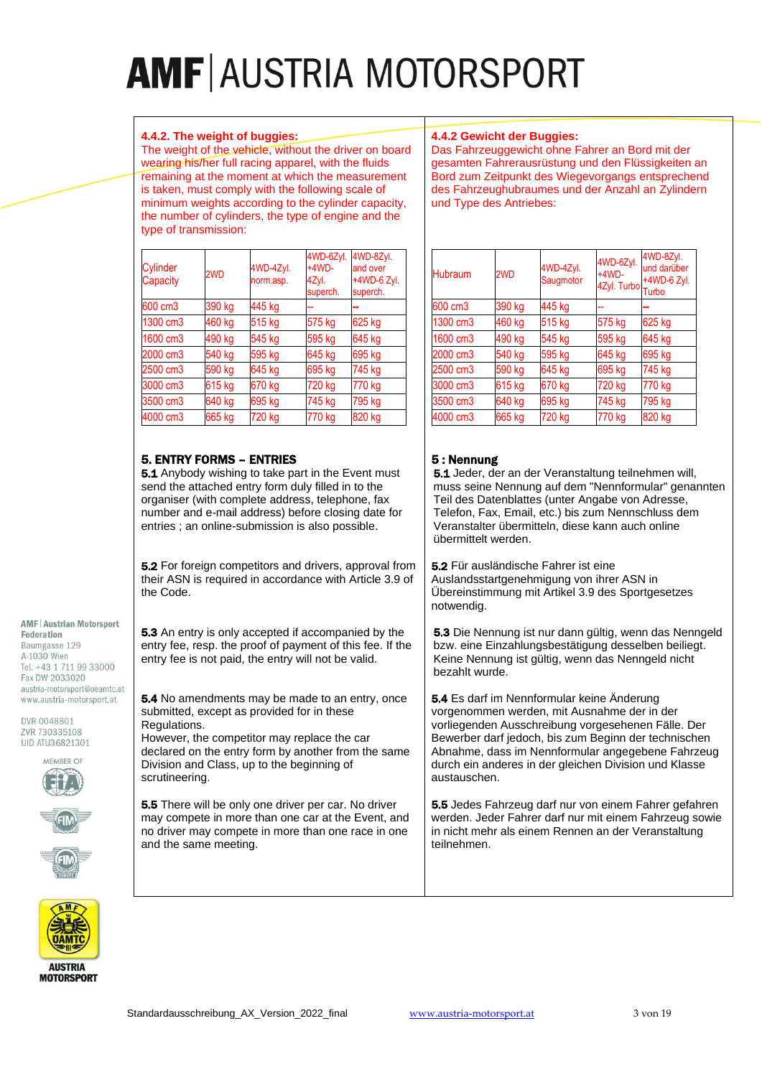#### **4.4.2. The weight of buggies:**

The weight of the vehicle, without the driver on board wearing his/her full racing apparel, with the fluids remaining at the moment at which the measurement is taken, must comply with the following scale of minimum weights according to the cylinder capacity, the number of cylinders, the type of engine and the type of transmission:

| 4.4.2 Gewicht der Buggies: |  |  |  |
|----------------------------|--|--|--|
|                            |  |  |  |

Das Fahrzeuggewicht ohne Fahrer an Bord mit der gesamten Fahrerausrüstung und den Flüssigkeiten an Bord zum Zeitpunkt des Wiegevorgangs entsprechend des Fahrzeughubraumes und der Anzahl an Zylindern und Type des Antriebes:

| Cylinder<br>Capacity | 2WD    | 4WD-4Zyl.<br>norm.asp. | 4WD-6Zyl.<br>$+4WD-$<br>4Zyl.<br>superch. | 4WD-8Zyl.<br>and over<br>+4WD-6 Zyl.<br>superch. |
|----------------------|--------|------------------------|-------------------------------------------|--------------------------------------------------|
| 600 cm3              | 390 kg | 445 kg                 |                                           |                                                  |
| 1300 cm3             | 460 kg | 515 kg                 | 575 kg                                    | 625 kg                                           |
| 1600 cm3             | 490 kg | 545 kg                 | 595 kg                                    | 645 kg                                           |
| 2000 cm3             | 540 kg | 595 kg                 | 645 kg                                    | 695 kg                                           |
| 2500 cm3             | 590 kg | 645 kg                 | 695 kg                                    | 745 kg                                           |
| 3000 cm3             | 615 kg | 670 kg                 | 720 kg                                    | 770 kg                                           |
| 3500 cm3             | 640 kg | 695 kg                 | 745 kg                                    | 795 kg                                           |
| 4000 cm3             | 665 kg | 720 kg                 | 770 kg                                    | 820 kg                                           |

# 5. ENTRY FORMS – ENTRIES

5.1 Anybody wishing to take part in the Event must send the attached entry form duly filled in to the organiser (with complete address, telephone, fax number and e-mail address) before closing date for entries ; an online-submission is also possible.

5.2 For foreign competitors and drivers, approval from their ASN is required in accordance with Article 3.9 of the Code.

5.3 An entry is only accepted if accompanied by the entry fee, resp. the proof of payment of this fee. If the entry fee is not paid, the entry will not be valid.

5.4 No amendments may be made to an entry, once

**5.5** There will be only one driver per car. No driver may compete in more than one car at the Event, and no driver may compete in more than one race in one

submitted, except as provided for in these

Division and Class, up to the beginning of

However, the competitor may replace the car declared on the entry form by another from the same

Regulations.

scrutineering.

and the same meeting.

#### **AMF | Austrian Motorsport**

Federation Baumgasse 129 A-1030 Wien Tel. +43 1 711 99 33000 Fax DW 2033020 austria-motorsport@oeamtc.at www.austria-motorsport.at

DVR 0048801 ZVR 730335108 UID ATU36821301









**MOTORSPORT** 

| <b>Hubraum</b> | 2WD    | 4WD-4Zyl.<br>Saugmotor | 4WD-6Zyl.<br>$+4WD-$<br>4Zyl. Turbo | 4WD-8Zyl.<br>und darüber<br>+4WD-6 Zyl.<br>Turbo |
|----------------|--------|------------------------|-------------------------------------|--------------------------------------------------|
| 600 cm3        | 390 kg | 445 kg                 |                                     |                                                  |
| 1300 cm3       | 460 kg | 515 kg                 | 575 kg                              | 625 kg                                           |
| 1600 cm3       | 490 kg | 545 kg                 | 595 kg                              | 645 kg                                           |
| 2000 cm3       | 540 kg | 595 kg                 | 645 kg                              | 695 kg                                           |
| 2500 cm3       | 590 kg | 645 kg                 | 695 kg                              | 745 kg                                           |
| 3000 cm3       | 615 kg | 670 kg                 | 720 kg                              | 770 kg                                           |
| 3500 cm3       | 640 kg | 695 kg                 | 745 kg                              | 795 kg                                           |
| 4000 cm3       | 665 kg | 720 kg                 | 770 kg                              | 820 kg                                           |

# 5 : Nennung

5.1 Jeder, der an der Veranstaltung teilnehmen will, muss seine Nennung auf dem "Nennformular" genannten Teil des Datenblattes (unter Angabe von Adresse, Telefon, Fax, Email, etc.) bis zum Nennschluss dem Veranstalter übermitteln, diese kann auch online übermittelt werden.

5.2 Für ausländische Fahrer ist eine Auslandsstartgenehmigung von ihrer ASN in Übereinstimmung mit Artikel 3.9 des Sportgesetzes notwendig.

5.3 Die Nennung ist nur dann gültig, wenn das Nenngeld bzw. eine Einzahlungsbestätigung desselben beiliegt. Keine Nennung ist gültig, wenn das Nenngeld nicht bezahlt wurde.

5.4 Es darf im Nennformular keine Änderung vorgenommen werden, mit Ausnahme der in der vorliegenden Ausschreibung vorgesehenen Fälle. Der Bewerber darf jedoch, bis zum Beginn der technischen Abnahme, dass im Nennformular angegebene Fahrzeug durch ein anderes in der gleichen Division und Klasse austauschen.

5.5 Jedes Fahrzeug darf nur von einem Fahrer gefahren werden. Jeder Fahrer darf nur mit einem Fahrzeug sowie in nicht mehr als einem Rennen an der Veranstaltung teilnehmen.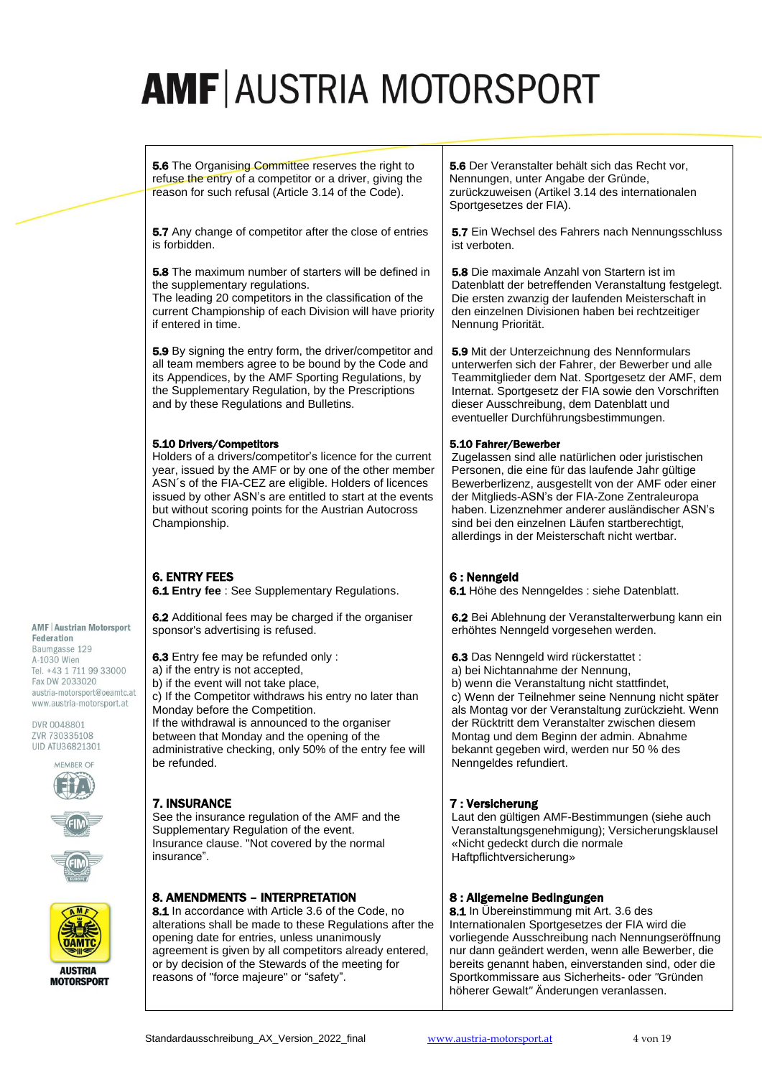**5.6** The Organising Committee reserves the right to refuse the entry of a competitor or a driver, giving the reason for such refusal (Article 3.14 of the Code).

**5.7** Any change of competitor after the close of entries is forbidden.

5.8 The maximum number of starters will be defined in the supplementary regulations.

The leading 20 competitors in the classification of the current Championship of each Division will have priority if entered in time.

5.9 By signing the entry form, the driver/competitor and all team members agree to be bound by the Code and its Appendices, by the AMF Sporting Regulations, by the Supplementary Regulation, by the Prescriptions and by these Regulations and Bulletins.

#### 5.10 Drivers/Competitors

Holders of a drivers/competitor's licence for the current year, issued by the AMF or by one of the other member ASN´s of the FIA-CEZ are eligible. Holders of licences issued by other ASN's are entitled to start at the events but without scoring points for the Austrian Autocross Championship.

# 6. ENTRY FEES

7. INSURANCE

insurance".

6.1 **Entry fee** : See Supplementary Regulations.

6.2 Additional fees may be charged if the organiser sponsor's advertising is refused.

6.3 Entry fee may be refunded only :

- a) if the entry is not accepted,
- b) if the event will not take place,

c) If the Competitor withdraws his entry no later than Monday before the Competition.

If the withdrawal is announced to the organiser between that Monday and the opening of the administrative checking, only 50% of the entry fee will be refunded.

See the insurance regulation of the AMF and the



**AMF | Austrian Motorsport** 

Tel. +43 1 711 99 33000 Fax DW 2033020 austria-motorsport@oeamtc.at www.austria-motorsport.at

Federation Baumgasse 129 A-1030 Wien

DVR 0048801 ZVR 730335108 UID ATU36821301 MEMBER OF







**MOTORSPORT** 

### 8. AMENDMENTS – INTERPRETATION

Supplementary Regulation of the event. Insurance clause. "Not covered by the normal

8.1 In accordance with Article 3.6 of the Code, no alterations shall be made to these Regulations after the opening date for entries, unless unanimously agreement is given by all competitors already entered, or by decision of the Stewards of the meeting for reasons of "force majeure" or "safety".

5.6 Der Veranstalter behält sich das Recht vor, Nennungen, unter Angabe der Gründe, zurückzuweisen (Artikel 3.14 des internationalen Sportgesetzes der FIA).

5.7 Ein Wechsel des Fahrers nach Nennungsschluss ist verboten.

5.8 Die maximale Anzahl von Startern ist im Datenblatt der betreffenden Veranstaltung festgelegt. Die ersten zwanzig der laufenden Meisterschaft in den einzelnen Divisionen haben bei rechtzeitiger Nennung Priorität.

5.9 Mit der Unterzeichnung des Nennformulars unterwerfen sich der Fahrer, der Bewerber und alle Teammitglieder dem Nat. Sportgesetz der AMF, dem Internat. Sportgesetz der FIA sowie den Vorschriften dieser Ausschreibung, dem Datenblatt und eventueller Durchführungsbestimmungen.

#### 5.10 Fahrer/Bewerber

Zugelassen sind alle natürlichen oder juristischen Personen, die eine für das laufende Jahr gültige Bewerberlizenz, ausgestellt von der AMF oder einer der Mitglieds-ASN's der FIA-Zone Zentraleuropa haben. Lizenznehmer anderer ausländischer ASN's sind bei den einzelnen Läufen startberechtigt, allerdings in der Meisterschaft nicht wertbar.

### 6 : Nenngeld

6.1 Höhe des Nenngeldes : siehe Datenblatt.

6.2 Bei Ablehnung der Veranstalterwerbung kann ein erhöhtes Nenngeld vorgesehen werden.

6.3 Das Nenngeld wird rückerstattet :

a) bei Nichtannahme der Nennung,

b) wenn die Veranstaltung nicht stattfindet, c) Wenn der Teilnehmer seine Nennung nicht später als Montag vor der Veranstaltung zurückzieht. Wenn der Rücktritt dem Veranstalter zwischen diesem Montag und dem Beginn der admin. Abnahme bekannt gegeben wird, werden nur 50 % des Nenngeldes refundiert.

### 7 : Versicherung

Laut den gültigen AMF-Bestimmungen (siehe auch Veranstaltungsgenehmigung); Versicherungsklausel «Nicht gedeckt durch die normale Haftpflichtversicherung»

### 8 : Allgemeine Bedingungen

8.1 In Übereinstimmung mit Art. 3.6 des Internationalen Sportgesetzes der FIA wird die vorliegende Ausschreibung nach Nennungseröffnung nur dann geändert werden, wenn alle Bewerber, die bereits genannt haben, einverstanden sind, oder die Sportkommissare aus Sicherheits- oder *"*Gründen höherer Gewalt*"* Änderungen veranlassen.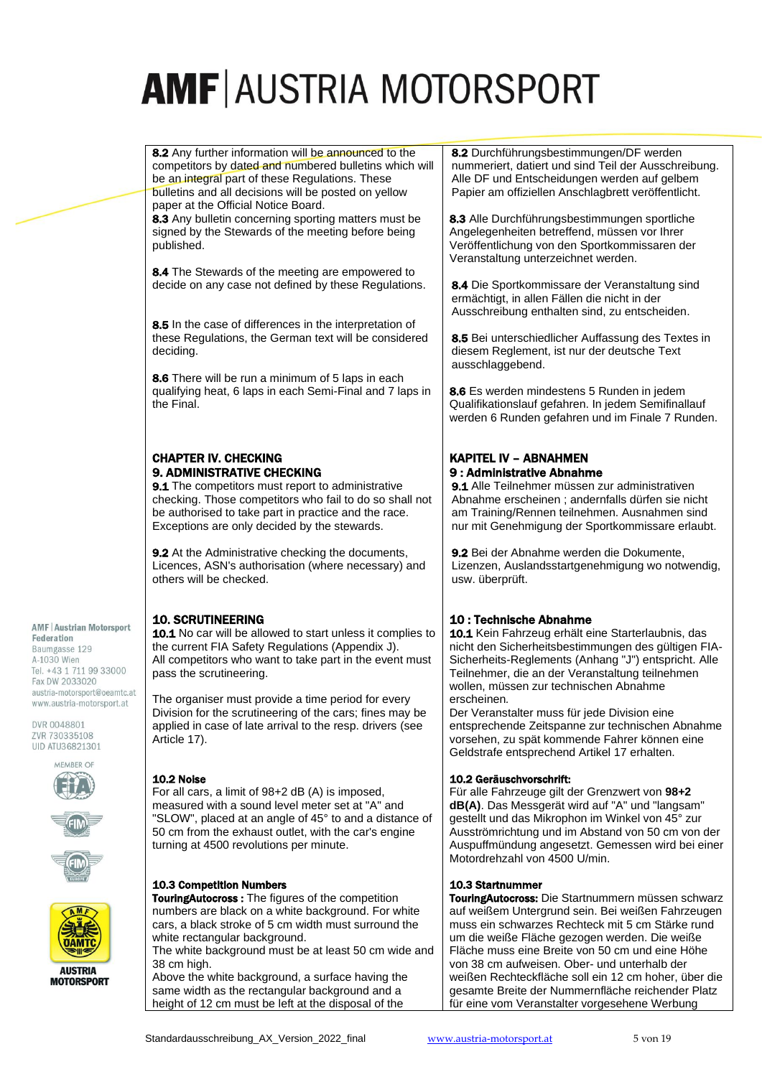8.2 Any further information will be announced to the competitors by dated and numbered bulletins which will be an integral part of these Regulations. These bulletins and all decisions will be posted on yellow paper at the Official Notice Board.

8.3 Any bulletin concerning sporting matters must be signed by the Stewards of the meeting before being published.

8.4 The Stewards of the meeting are empowered to decide on any case not defined by these Regulations.

8.5 In the case of differences in the interpretation of these Regulations, the German text will be considered deciding.

8.6 There will be run a minimum of 5 laps in each qualifying heat, 6 laps in each Semi-Final and 7 laps in the Final.

# CHAPTER IV. CHECKING 9. ADMINISTRATIVE CHECKING

9.1 The competitors must report to administrative checking. Those competitors who fail to do so shall not be authorised to take part in practice and the race. Exceptions are only decided by the stewards.

9.2 At the Administrative checking the documents, Licences, ASN's authorisation (where necessary) and others will be checked.

# **AMF | Austrian Motorsport**

Federation Baumgasse 129 A-1030 Wien Tel. +43 1 711 99 33000 Fax DW 2033020 austria-motorsport@oeamtc.at www.austria-motorsport.at

DVR 0048801 ZVR 730335108 UID ATU36821301









**MOTORSPORT** 

# 10. SCRUTINEERING

10.1 No car will be allowed to start unless it complies to the current FIA Safety Regulations (Appendix J). All competitors who want to take part in the event must pass the scrutineering.

The organiser must provide a time period for every Division for the scrutineering of the cars; fines may be applied in case of late arrival to the resp. drivers (see Article 17).

# 10.2 Noise

For all cars, a limit of 98+2 dB (A) is imposed, measured with a sound level meter set at "A" and "SLOW", placed at an angle of 45° to and a distance of 50 cm from the exhaust outlet, with the car's engine turning at 4500 revolutions per minute.

#### 10.3 Competition Numbers

TouringAutocross : The figures of the competition numbers are black on a white background. For white cars, a black stroke of 5 cm width must surround the white rectangular background.

The white background must be at least 50 cm wide and 38 cm high.

Above the white background, a surface having the same width as the rectangular background and a height of 12 cm must be left at the disposal of the

8.2 Durchführungsbestimmungen/DF werden nummeriert, datiert und sind Teil der Ausschreibung. Alle DF und Entscheidungen werden auf gelbem Papier am offiziellen Anschlagbrett veröffentlicht.

8.3 Alle Durchführungsbestimmungen sportliche Angelegenheiten betreffend, müssen vor Ihrer Veröffentlichung von den Sportkommissaren der Veranstaltung unterzeichnet werden.

8.4 Die Sportkommissare der Veranstaltung sind ermächtigt, in allen Fällen die nicht in der Ausschreibung enthalten sind, zu entscheiden.

8.5 Bei unterschiedlicher Auffassung des Textes in diesem Reglement, ist nur der deutsche Text ausschlaggebend.

8.6 Es werden mindestens 5 Runden in jedem Qualifikationslauf gefahren. In jedem Semifinallauf werden 6 Runden gefahren und im Finale 7 Runden.

# KAPITEL IV – ABNAHMEN 9 : Administrative Abnahme

9.1 Alle Teilnehmer müssen zur administrativen Abnahme erscheinen ; andernfalls dürfen sie nicht am Training/Rennen teilnehmen. Ausnahmen sind nur mit Genehmigung der Sportkommissare erlaubt.

9.2 Bei der Abnahme werden die Dokumente, Lizenzen, Auslandsstartgenehmigung wo notwendig, usw. überprüft.

# 10 : Technische Abnahme

10.1 Kein Fahrzeug erhält eine Starterlaubnis, das nicht den Sicherheitsbestimmungen des gültigen FIA-Sicherheits-Reglements (Anhang "J") entspricht. Alle Teilnehmer, die an der Veranstaltung teilnehmen wollen, müssen zur technischen Abnahme erscheinen*.*

Der Veranstalter muss für jede Division eine entsprechende Zeitspanne zur technischen Abnahme vorsehen, zu spät kommende Fahrer können eine Geldstrafe entsprechend Artikel 17 erhalten.

### 10.2 Geräuschvorschrift:

Für alle Fahrzeuge gilt der Grenzwert von **98+2 dB(A)**. Das Messgerät wird auf "A" und "langsam" gestellt und das Mikrophon im Winkel von 45° zur Ausströmrichtung und im Abstand von 50 cm von der Auspuffmündung angesetzt. Gemessen wird bei einer Motordrehzahl von 4500 U/min.

### 10.3 Startnummer

**TouringAutocross: Die Startnummern müssen schwarz** auf weißem Untergrund sein. Bei weißen Fahrzeugen muss ein schwarzes Rechteck mit 5 cm Stärke rund um die weiße Fläche gezogen werden. Die weiße Fläche muss eine Breite von 50 cm und eine Höhe von 38 cm aufweisen. Ober- und unterhalb der weißen Rechteckfläche soll ein 12 cm hoher, über die gesamte Breite der Nummernfläche reichender Platz für eine vom Veranstalter vorgesehene Werbung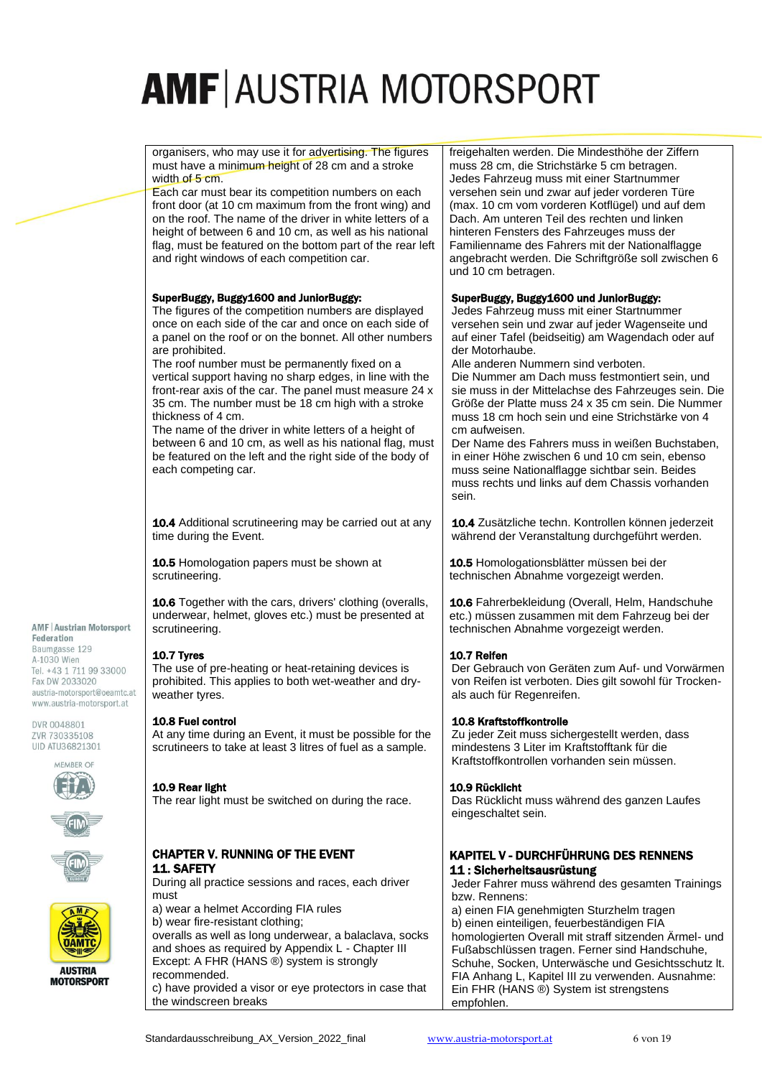organisers, who may use it for advertising. The figures must have a minimum height of 28 cm and a stroke width of 5 cm.

Each car must bear its competition numbers on each front door (at 10 cm maximum from the front wing) and on the roof. The name of the driver in white letters of a height of between 6 and 10 cm, as well as his national flag, must be featured on the bottom part of the rear left and right windows of each competition car.

#### SuperBuggy, Buggy1600 and JuniorBuggy:

The figures of the competition numbers are displayed once on each side of the car and once on each side of a panel on the roof or on the bonnet. All other numbers are prohibited.

The roof number must be permanently fixed on a vertical support having no sharp edges, in line with the front-rear axis of the car. The panel must measure 24 x 35 cm. The number must be 18 cm high with a stroke thickness of 4 cm.

The name of the driver in white letters of a height of between 6 and 10 cm, as well as his national flag, must be featured on the left and the right side of the body of each competing car.

10.4 Additional scrutineering may be carried out at any time during the Event.

10.5 Homologation papers must be shown at scrutineering.

10.6 Together with the cars, drivers' clothing (overalls, underwear, helmet, gloves etc.) must be presented at scrutineering.

#### 10.7 Tyres

The use of pre-heating or heat-retaining devices is prohibited. This applies to both wet-weather and dryweather tyres.

#### 10.8 Fuel control

At any time during an Event, it must be possible for the scrutineers to take at least 3 litres of fuel as a sample.

#### 10.9 Rear light

The rear light must be switched on during the race.

#### CHAPTER V. RUNNING OF THE EVENT 11. SAFETY

During all practice sessions and races, each driver must

a) wear a helmet According FIA rules b) wear fire-resistant clothing; overalls as well as long underwear, a balaclava, socks and shoes as required by Appendix L - Chapter III Except: A FHR (HANS ®) system is strongly recommended. c) have provided a visor or eye protectors in case that the windscreen breaks

freigehalten werden. Die Mindesthöhe der Ziffern muss 28 cm, die Strichstärke 5 cm betragen. Jedes Fahrzeug muss mit einer Startnummer versehen sein und zwar auf jeder vorderen Türe (max. 10 cm vom vorderen Kotflügel) und auf dem Dach. Am unteren Teil des rechten und linken hinteren Fensters des Fahrzeuges muss der Familienname des Fahrers mit der Nationalflagge angebracht werden. Die Schriftgröße soll zwischen 6 und 10 cm betragen.

#### SuperBuggy, Buggy1600 und JuniorBuggy:

Jedes Fahrzeug muss mit einer Startnummer versehen sein und zwar auf jeder Wagenseite und auf einer Tafel (beidseitig) am Wagendach oder auf der Motorhaube.

Alle anderen Nummern sind verboten. Die Nummer am Dach muss festmontiert sein, und

sie muss in der Mittelachse des Fahrzeuges sein. Die Größe der Platte muss 24 x 35 cm sein. Die Nummer muss 18 cm hoch sein und eine Strichstärke von 4 cm aufweisen.

Der Name des Fahrers muss in weißen Buchstaben, in einer Höhe zwischen 6 und 10 cm sein, ebenso muss seine Nationalflagge sichtbar sein. Beides muss rechts und links auf dem Chassis vorhanden sein.

10.4 Zusätzliche techn. Kontrollen können jederzeit während der Veranstaltung durchgeführt werden.

10.5 Homologationsblätter müssen bei der technischen Abnahme vorgezeigt werden.

10.6 Fahrerbekleidung (Overall, Helm, Handschuhe etc.) müssen zusammen mit dem Fahrzeug bei der technischen Abnahme vorgezeigt werden.

#### 10.7 Reifen

Der Gebrauch von Geräten zum Auf- und Vorwärmen von Reifen ist verboten. Dies gilt sowohl für Trockenals auch für Regenreifen.

#### 10.8 Kraftstoffkontrolle

Zu jeder Zeit muss sichergestellt werden, dass mindestens 3 Liter im Kraftstofftank für die Kraftstoffkontrollen vorhanden sein müssen.

#### 10.9 Rücklicht

Das Rücklicht muss während des ganzen Laufes eingeschaltet sein.

#### KAPITEL V - DURCHFÜHRUNG DES RENNENS 11 : Sicherheitsausrüstung

Jeder Fahrer muss während des gesamten Trainings bzw. Rennens:

a) einen FIA genehmigten Sturzhelm tragen b) einen einteiligen, feuerbeständigen FIA homologierten Overall mit straff sitzenden Ärmel- und Fußabschlüssen tragen. Ferner sind Handschuhe, Schuhe, Socken, Unterwäsche und Gesichtsschutz lt. FIA Anhang L, Kapitel III zu verwenden. Ausnahme: Ein FHR (HANS ®) System ist strengstens empfohlen.

#### **AMF | Austrian Motorsport** Federation

Baumgasse 129 A-1030 Wien Tel. +43 1 711 99 33000 Fax DW 2033020 austria-motorsport@oeamtc.at www.austria-motorsport.at

DVR 0048801 ZVR 730335108 UID ATU36821301









**MOTORSPORT**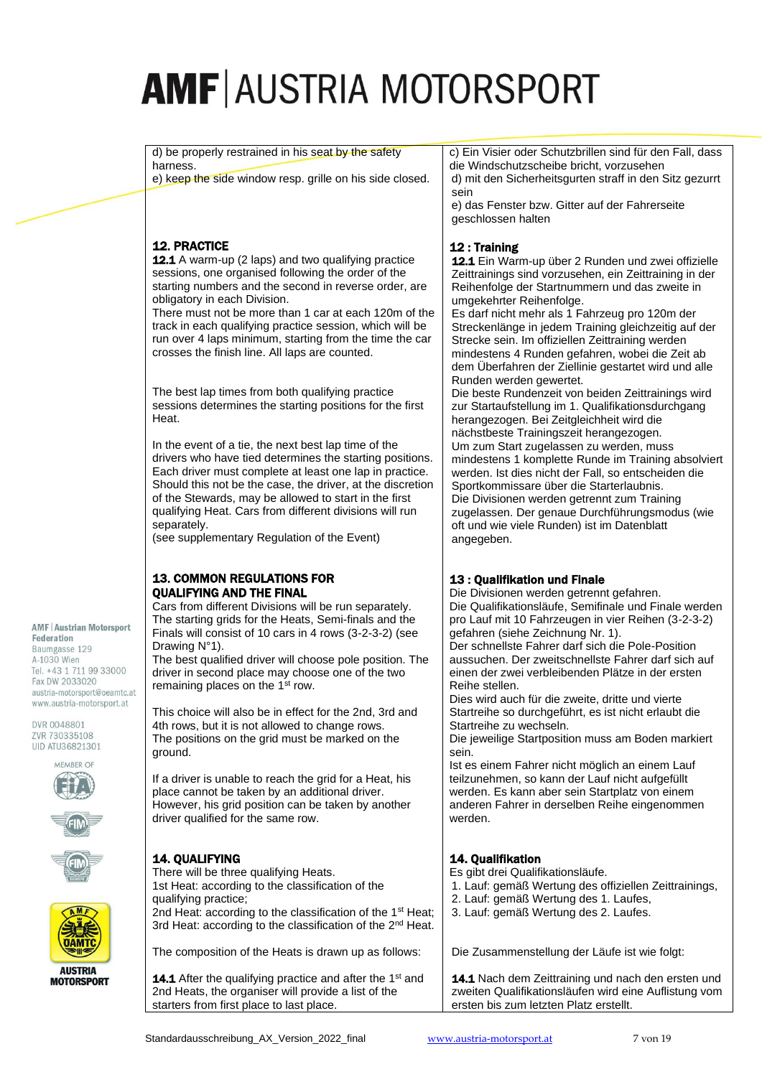d) be properly restrained in his seat by the safety harness.

e) keep the side window resp. grille on his side closed.

# 12. PRACTICE

12.1 A warm-up (2 laps) and two qualifying practice sessions, one organised following the order of the starting numbers and the second in reverse order, are obligatory in each Division.

There must not be more than 1 car at each 120m of the track in each qualifying practice session, which will be run over 4 laps minimum, starting from the time the car crosses the finish line. All laps are counted.

The best lap times from both qualifying practice sessions determines the starting positions for the first Heat.

In the event of a tie, the next best lap time of the drivers who have tied determines the starting positions. Each driver must complete at least one lap in practice. Should this not be the case, the driver, at the discretion of the Stewards, may be allowed to start in the first qualifying Heat. Cars from different divisions will run separately.

(see supplementary Regulation of the Event)

#### 13. COMMON REGULATIONS FOR QUALIFYING AND THE FINAL

Cars from different Divisions will be run separately. The starting grids for the Heats, Semi-finals and the Finals will consist of 10 cars in 4 rows (3-2-3-2) (see Drawing N°1).

The best qualified driver will choose pole position. The driver in second place may choose one of the two remaining places on the 1<sup>st</sup> row.

This choice will also be in effect for the 2nd, 3rd and 4th rows, but it is not allowed to change rows. The positions on the grid must be marked on the ground.

If a driver is unable to reach the grid for a Heat, his place cannot be taken by an additional driver. However, his grid position can be taken by another driver qualified for the same row.

# 14. QUALIFYING

There will be three qualifying Heats. 1st Heat: according to the classification of the qualifying practice; 2nd Heat: according to the classification of the 1<sup>st</sup> Heat: 3rd Heat: according to the classification of the 2<sup>nd</sup> Heat.

The composition of the Heats is drawn up as follows:

14.1 After the qualifying practice and after the 1<sup>st</sup> and 2nd Heats, the organiser will provide a list of the starters from first place to last place.

c) Ein Visier oder Schutzbrillen sind für den Fall, dass die Windschutzscheibe bricht, vorzusehen d) mit den Sicherheitsgurten straff in den Sitz gezurrt sein

e) das Fenster bzw. Gitter auf der Fahrerseite geschlossen halten

## 12 : Training

12.1 Ein Warm-up über 2 Runden und zwei offizielle Zeittrainings sind vorzusehen, ein Zeittraining in der Reihenfolge der Startnummern und das zweite in umgekehrter Reihenfolge.

Es darf nicht mehr als 1 Fahrzeug pro 120m der Streckenlänge in jedem Training gleichzeitig auf der Strecke sein. Im offiziellen Zeittraining werden mindestens 4 Runden gefahren, wobei die Zeit ab dem Überfahren der Ziellinie gestartet wird und alle Runden werden gewertet.

Die beste Rundenzeit von beiden Zeittrainings wird zur Startaufstellung im 1. Qualifikationsdurchgang herangezogen. Bei Zeitgleichheit wird die nächstbeste Trainingszeit herangezogen. Um zum Start zugelassen zu werden, muss mindestens 1 komplette Runde im Training absolviert werden. Ist dies nicht der Fall, so entscheiden die Sportkommissare über die Starterlaubnis. Die Divisionen werden getrennt zum Training zugelassen. Der genaue Durchführungsmodus (wie oft und wie viele Runden) ist im Datenblatt angegeben.

# 13 : Qualifikation und Finale

Die Divisionen werden getrennt gefahren. Die Qualifikationsläufe, Semifinale und Finale werden pro Lauf mit 10 Fahrzeugen in vier Reihen (3-2-3-2) gefahren (siehe Zeichnung Nr. 1).

Der schnellste Fahrer darf sich die Pole-Position aussuchen. Der zweitschnellste Fahrer darf sich auf einen der zwei verbleibenden Plätze in der ersten Reihe stellen.

Dies wird auch für die zweite, dritte und vierte Startreihe so durchgeführt, es ist nicht erlaubt die Startreihe zu wechseln.

Die jeweilige Startposition muss am Boden markiert sein.

Ist es einem Fahrer nicht möglich an einem Lauf teilzunehmen, so kann der Lauf nicht aufgefüllt werden. Es kann aber sein Startplatz von einem anderen Fahrer in derselben Reihe eingenommen werden.

### 14. Qualifikation

Es gibt drei Qualifikationsläufe.

- 1. Lauf: gemäß Wertung des offiziellen Zeittrainings,
- 2. Lauf: gemäß Wertung des 1. Laufes,
- 3. Lauf: gemäß Wertung des 2. Laufes.

Die Zusammenstellung der Läufe ist wie folgt:

14.1 Nach dem Zeittraining und nach den ersten und zweiten Qualifikationsläufen wird eine Auflistung vom ersten bis zum letzten Platz erstellt.

#### **AMF | Austrian Motorsport**

Federation Baumgasse 129 A-1030 Wien Tel. +43 1 711 99 33000 Fax DW 2033020 austria-motorsport@oeamtc.at www.austria-motorsport.at

DVR 0048801 ZVR 730335108 UID ATU36821301









**AUSTRIA MOTORSPORT**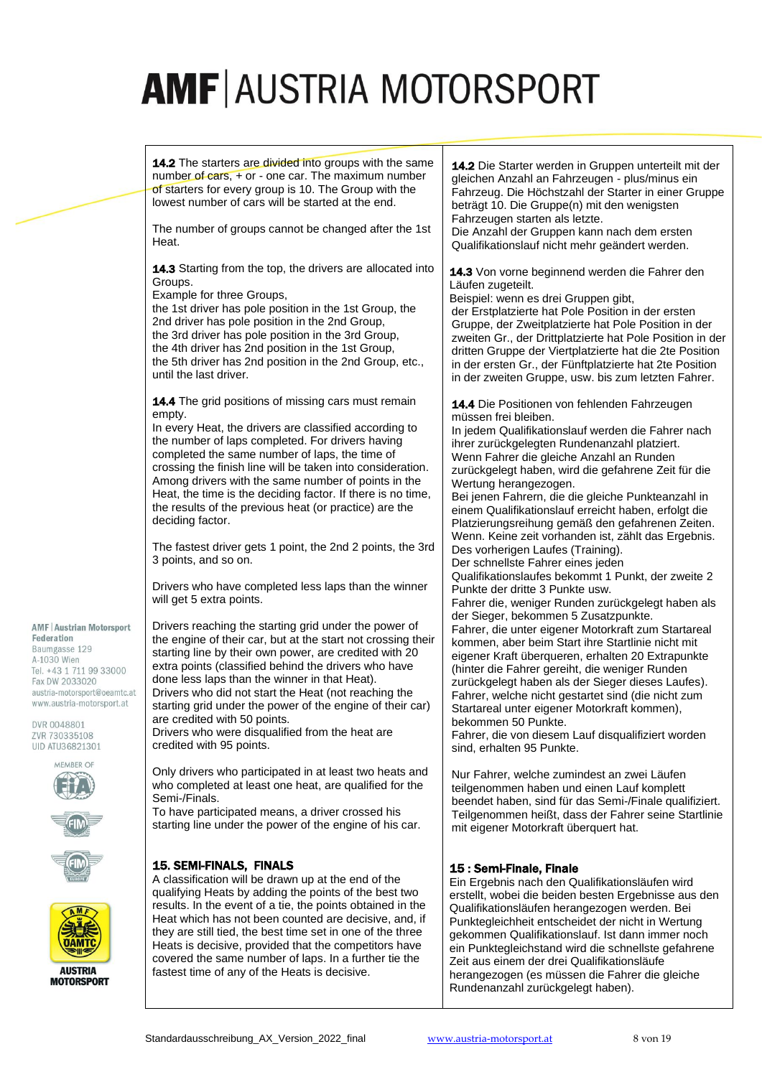14.2 The starters are divided into groups with the same number of cars, + or - one car. The maximum number of starters for every group is 10. The Group with the lowest number of cars will be started at the end.

The number of groups cannot be changed after the 1st Heat.

14.3 Starting from the top, the drivers are allocated into Groups.

Example for three Groups,

the 1st driver has pole position in the 1st Group, the 2nd driver has pole position in the 2nd Group, the 3rd driver has pole position in the 3rd Group, the 4th driver has 2nd position in the 1st Group, the 5th driver has 2nd position in the 2nd Group, etc., until the last driver.

14.4 The grid positions of missing cars must remain empty.

In every Heat, the drivers are classified according to the number of laps completed. For drivers having completed the same number of laps, the time of crossing the finish line will be taken into consideration. Among drivers with the same number of points in the Heat, the time is the deciding factor. If there is no time, the results of the previous heat (or practice) are the deciding factor.

The fastest driver gets 1 point, the 2nd 2 points, the 3rd 3 points, and so on.

Drivers who have completed less laps than the winner will get 5 extra points.

**AMF | Austrian Motorsport** Federation

Baumgasse 129 A-1030 Wien Tel. +43 1 711 99 33000 Fax DW 2033020 austria-motorsport@oeamtc.at www.austria-motorsport.at

DVR 0048801 ZVR 730335108 UID ATU36821301









**MOTORSPORT** 

Drivers reaching the starting grid under the power of the engine of their car, but at the start not crossing their starting line by their own power, are credited with 20 extra points (classified behind the drivers who have done less laps than the winner in that Heat). Drivers who did not start the Heat (not reaching the starting grid under the power of the engine of their car) are credited with 50 points.

Drivers who were disqualified from the heat are credited with 95 points.

Only drivers who participated in at least two heats and who completed at least one heat, are qualified for the Semi-/Finals.

To have participated means, a driver crossed his starting line under the power of the engine of his car.

# 15. SEMI-FINALS, FINALS

A classification will be drawn up at the end of the qualifying Heats by adding the points of the best two results. In the event of a tie, the points obtained in the Heat which has not been counted are decisive, and, if they are still tied, the best time set in one of the three Heats is decisive, provided that the competitors have covered the same number of laps. In a further tie the fastest time of any of the Heats is decisive.

14.2 Die Starter werden in Gruppen unterteilt mit der gleichen Anzahl an Fahrzeugen - plus/minus ein Fahrzeug. Die Höchstzahl der Starter in einer Gruppe beträgt 10. Die Gruppe(n) mit den wenigsten Fahrzeugen starten als letzte. Die Anzahl der Gruppen kann nach dem ersten

Qualifikationslauf nicht mehr geändert werden.

14.3 Von vorne beginnend werden die Fahrer den Läufen zugeteilt.

Beispiel: wenn es drei Gruppen gibt,

der Erstplatzierte hat Pole Position in der ersten Gruppe, der Zweitplatzierte hat Pole Position in der zweiten Gr., der Drittplatzierte hat Pole Position in der dritten Gruppe der Viertplatzierte hat die 2te Position in der ersten Gr., der Fünftplatzierte hat 2te Position in der zweiten Gruppe, usw. bis zum letzten Fahrer.

14.4 Die Positionen von fehlenden Fahrzeugen müssen frei bleiben.

In jedem Qualifikationslauf werden die Fahrer nach ihrer zurückgelegten Rundenanzahl platziert. Wenn Fahrer die gleiche Anzahl an Runden zurückgelegt haben, wird die gefahrene Zeit für die Wertung herangezogen.

Bei jenen Fahrern, die die gleiche Punkteanzahl in einem Qualifikationslauf erreicht haben, erfolgt die Platzierungsreihung gemäß den gefahrenen Zeiten. Wenn. Keine zeit vorhanden ist, zählt das Ergebnis. Des vorherigen Laufes (Training).

Der schnellste Fahrer eines jeden Qualifikationslaufes bekommt 1 Punkt, der zweite 2 Punkte der dritte 3 Punkte usw.

Fahrer die, weniger Runden zurückgelegt haben als der Sieger, bekommen 5 Zusatzpunkte. Fahrer, die unter eigener Motorkraft zum Startareal

kommen, aber beim Start ihre Startlinie nicht mit eigener Kraft überqueren, erhalten 20 Extrapunkte (hinter die Fahrer gereiht, die weniger Runden zurückgelegt haben als der Sieger dieses Laufes). Fahrer, welche nicht gestartet sind (die nicht zum Startareal unter eigener Motorkraft kommen), bekommen 50 Punkte.

Fahrer, die von diesem Lauf disqualifiziert worden sind, erhalten 95 Punkte.

Nur Fahrer, welche zumindest an zwei Läufen teilgenommen haben und einen Lauf komplett beendet haben, sind für das Semi-/Finale qualifiziert. Teilgenommen heißt, dass der Fahrer seine Startlinie mit eigener Motorkraft überquert hat.

### 15 : Semi-Finale, Finale

Ein Ergebnis nach den Qualifikationsläufen wird erstellt, wobei die beiden besten Ergebnisse aus den Qualifikationsläufen herangezogen werden. Bei Punktegleichheit entscheidet der nicht in Wertung gekommen Qualifikationslauf. Ist dann immer noch ein Punktegleichstand wird die schnellste gefahrene Zeit aus einem der drei Qualifikationsläufe herangezogen (es müssen die Fahrer die gleiche Rundenanzahl zurückgelegt haben).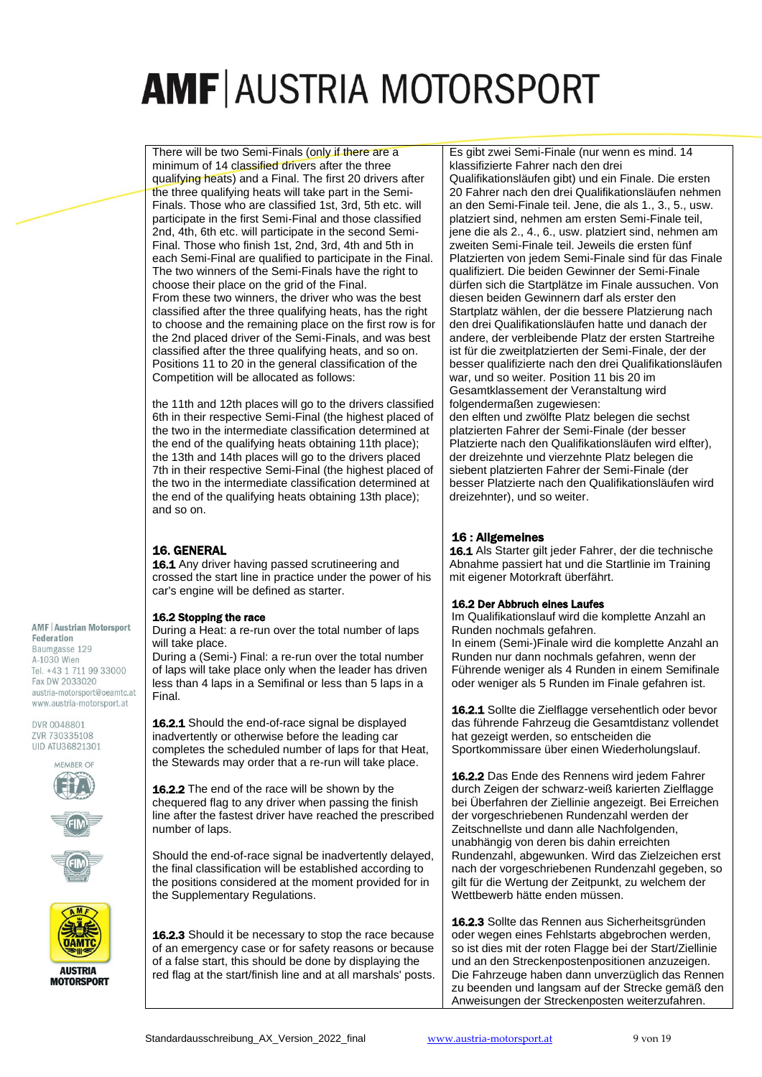There will be two Semi-Finals (only if there are a minimum of 14 classified drivers after the three qualifying heats) and a Final. The first 20 drivers after the three qualifying heats will take part in the Semi-Finals. Those who are classified 1st, 3rd, 5th etc. will participate in the first Semi-Final and those classified 2nd, 4th, 6th etc. will participate in the second Semi-Final. Those who finish 1st, 2nd, 3rd, 4th and 5th in each Semi-Final are qualified to participate in the Final. The two winners of the Semi-Finals have the right to choose their place on the grid of the Final. From these two winners, the driver who was the best classified after the three qualifying heats, has the right to choose and the remaining place on the first row is for the 2nd placed driver of the Semi-Finals, and was best classified after the three qualifying heats, and so on. Positions 11 to 20 in the general classification of the Competition will be allocated as follows:

the 11th and 12th places will go to the drivers classified 6th in their respective Semi-Final (the highest placed of the two in the intermediate classification determined at the end of the qualifying heats obtaining 11th place); the 13th and 14th places will go to the drivers placed 7th in their respective Semi-Final (the highest placed of the two in the intermediate classification determined at the end of the qualifying heats obtaining 13th place); and so on.

# 16. GENERAL

16.1 Any driver having passed scrutineering and crossed the start line in practice under the power of his car's engine will be defined as starter.

#### 16.2 Stopping the race

During a Heat: a re-run over the total number of laps will take place.

During a (Semi-) Final: a re-run over the total number of laps will take place only when the leader has driven less than 4 laps in a Semifinal or less than 5 laps in a Final.

16.2.1 Should the end-of-race signal be displayed inadvertently or otherwise before the leading car completes the scheduled number of laps for that Heat, the Stewards may order that a re-run will take place.

16.2.2 The end of the race will be shown by the chequered flag to any driver when passing the finish line after the fastest driver have reached the prescribed number of laps.

Should the end-of-race signal be inadvertently delayed, the final classification will be established according to the positions considered at the moment provided for in the Supplementary Regulations.

16.2.3 Should it be necessary to stop the race because of an emergency case or for safety reasons or because of a false start, this should be done by displaying the red flag at the start/finish line and at all marshals' posts. Es gibt zwei Semi-Finale (nur wenn es mind. 14 klassifizierte Fahrer nach den drei

Qualifikationsläufen gibt) und ein Finale. Die ersten 20 Fahrer nach den drei Qualifikationsläufen nehmen an den Semi-Finale teil. Jene, die als 1., 3., 5., usw. platziert sind, nehmen am ersten Semi-Finale teil, jene die als 2., 4., 6., usw. platziert sind, nehmen am zweiten Semi-Finale teil. Jeweils die ersten fünf Platzierten von jedem Semi-Finale sind für das Finale qualifiziert. Die beiden Gewinner der Semi-Finale dürfen sich die Startplätze im Finale aussuchen. Von diesen beiden Gewinnern darf als erster den Startplatz wählen, der die bessere Platzierung nach den drei Qualifikationsläufen hatte und danach der andere, der verbleibende Platz der ersten Startreihe ist für die zweitplatzierten der Semi-Finale, der der besser qualifizierte nach den drei Qualifikationsläufen war, und so weiter. Position 11 bis 20 im Gesamtklassement der Veranstaltung wird folgendermaßen zugewiesen:

den elften und zwölfte Platz belegen die sechst platzierten Fahrer der Semi-Finale (der besser Platzierte nach den Qualifikationsläufen wird elfter), der dreizehnte und vierzehnte Platz belegen die siebent platzierten Fahrer der Semi-Finale (der besser Platzierte nach den Qualifikationsläufen wird dreizehnter), und so weiter.

# 16 : Allgemeines

16.1 Als Starter gilt jeder Fahrer, der die technische Abnahme passiert hat und die Startlinie im Training mit eigener Motorkraft überfährt.

### 16.2 Der Abbruch eines Laufes

Im Qualifikationslauf wird die komplette Anzahl an Runden nochmals gefahren.

In einem (Semi-)Finale wird die komplette Anzahl an Runden nur dann nochmals gefahren, wenn der Führende weniger als 4 Runden in einem Semifinale oder weniger als 5 Runden im Finale gefahren ist.

16.2.1 Sollte die Zielflagge versehentlich oder bevor das führende Fahrzeug die Gesamtdistanz vollendet hat gezeigt werden, so entscheiden die Sportkommissare über einen Wiederholungslauf.

16.2.2 Das Ende des Rennens wird jedem Fahrer durch Zeigen der schwarz-weiß karierten Zielflagge bei Überfahren der Ziellinie angezeigt. Bei Erreichen der vorgeschriebenen Rundenzahl werden der Zeitschnellste und dann alle Nachfolgenden, unabhängig von deren bis dahin erreichten Rundenzahl, abgewunken. Wird das Zielzeichen erst nach der vorgeschriebenen Rundenzahl gegeben, so gilt für die Wertung der Zeitpunkt, zu welchem der Wettbewerb hätte enden müssen.

16.2.3 Sollte das Rennen aus Sicherheitsgründen oder wegen eines Fehlstarts abgebrochen werden, so ist dies mit der roten Flagge bei der Start/Ziellinie und an den Streckenpostenpositionen anzuzeigen. Die Fahrzeuge haben dann unverzüglich das Rennen zu beenden und langsam auf der Strecke gemäß den Anweisungen der Streckenposten weiterzufahren.

#### **AMF | Austrian Motorsport** Federation

Baumgasse 129 A-1030 Wien Tel. +43 1 711 99 33000 Fax DW 2033020 austria-motorsport@oeamtc.at www.austria-motorsport.at









**MOTORSPORT**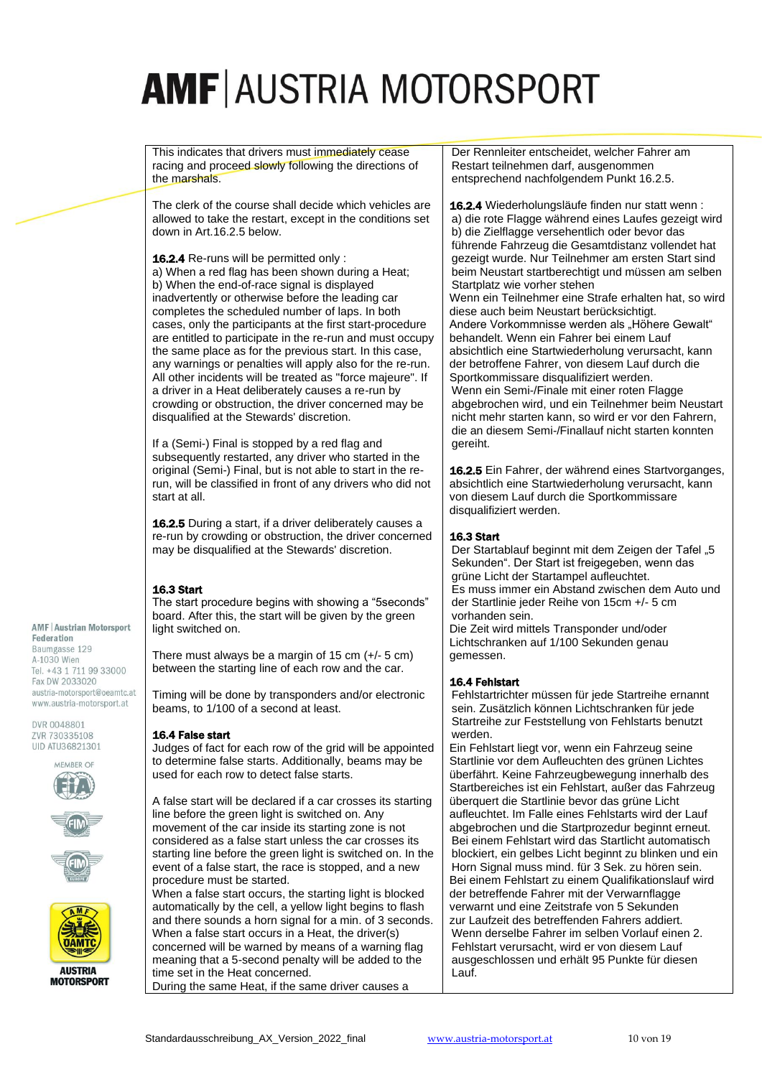This indicates that drivers must immediately cease racing and proceed slowly following the directions of the marshals.

The clerk of the course shall decide which vehicles are allowed to take the restart, except in the conditions set down in Art.16.2.5 below.

16.2.4 Re-runs will be permitted only : a) When a red flag has been shown during a Heat; b) When the end-of-race signal is displayed inadvertently or otherwise before the leading car completes the scheduled number of laps. In both cases, only the participants at the first start-procedure are entitled to participate in the re-run and must occupy the same place as for the previous start. In this case, any warnings or penalties will apply also for the re-run. All other incidents will be treated as "force majeure". If a driver in a Heat deliberately causes a re-run by crowding or obstruction, the driver concerned may be disqualified at the Stewards' discretion.

If a (Semi-) Final is stopped by a red flag and subsequently restarted, any driver who started in the original (Semi-) Final, but is not able to start in the rerun, will be classified in front of any drivers who did not start at all.

16.2.5 During a start, if a driver deliberately causes a re-run by crowding or obstruction, the driver concerned may be disqualified at the Stewards' discretion.

### 16.3 Start

The start procedure begins with showing a "5seconds" board. After this, the start will be given by the green light switched on.

There must always be a margin of 15 cm (+/- 5 cm) between the starting line of each row and the car.

Timing will be done by transponders and/or electronic beams, to 1/100 of a second at least.

### 16.4 False start

Judges of fact for each row of the grid will be appointed to determine false starts. Additionally, beams may be used for each row to detect false starts.

A false start will be declared if a car crosses its starting line before the green light is switched on. Any movement of the car inside its starting zone is not considered as a false start unless the car crosses its starting line before the green light is switched on. In the event of a false start, the race is stopped, and a new procedure must be started.

When a false start occurs, the starting light is blocked automatically by the cell, a yellow light begins to flash and there sounds a horn signal for a min. of 3 seconds. When a false start occurs in a Heat, the driver(s) concerned will be warned by means of a warning flag meaning that a 5-second penalty will be added to the time set in the Heat concerned. During the same Heat, if the same driver causes a

Der Rennleiter entscheidet, welcher Fahrer am Restart teilnehmen darf, ausgenommen entsprechend nachfolgendem Punkt 16.2.5.

16.2.4 Wiederholungsläufe finden nur statt wenn : a) die rote Flagge während eines Laufes gezeigt wird b) die Zielflagge versehentlich oder bevor das führende Fahrzeug die Gesamtdistanz vollendet hat gezeigt wurde. Nur Teilnehmer am ersten Start sind beim Neustart startberechtigt und müssen am selben Startplatz wie vorher stehen Wenn ein Teilnehmer eine Strafe erhalten hat, so wird diese auch beim Neustart berücksichtigt. Andere Vorkommnisse werden als "Höhere Gewalt" behandelt. Wenn ein Fahrer bei einem Lauf absichtlich eine Startwiederholung verursacht, kann der betroffene Fahrer, von diesem Lauf durch die Sportkommissare disqualifiziert werden. Wenn ein Semi-/Finale mit einer roten Flagge abgebrochen wird, und ein Teilnehmer beim Neustart nicht mehr starten kann, so wird er vor den Fahrern, die an diesem Semi-/Finallauf nicht starten konnten gereiht.

16.2.5 Ein Fahrer, der während eines Startvorganges, absichtlich eine Startwiederholung verursacht, kann von diesem Lauf durch die Sportkommissare disqualifiziert werden.

### 16.3 Start

Der Startablauf beginnt mit dem Zeigen der Tafel "5 Sekunden". Der Start ist freigegeben, wenn das grüne Licht der Startampel aufleuchtet. Es muss immer ein Abstand zwischen dem Auto und der Startlinie jeder Reihe von 15cm +/- 5 cm vorhanden sein. Die Zeit wird mittels Transponder und/oder Lichtschranken auf 1/100 Sekunden genau gemessen.

### 16.4 Fehlstart

Fehlstartrichter müssen für jede Startreihe ernannt sein. Zusätzlich können Lichtschranken für jede Startreihe zur Feststellung von Fehlstarts benutzt werden.

Ein Fehlstart liegt vor, wenn ein Fahrzeug seine Startlinie vor dem Aufleuchten des grünen Lichtes überfährt. Keine Fahrzeugbewegung innerhalb des Startbereiches ist ein Fehlstart, außer das Fahrzeug überquert die Startlinie bevor das grüne Licht aufleuchtet. Im Falle eines Fehlstarts wird der Lauf abgebrochen und die Startprozedur beginnt erneut. Bei einem Fehlstart wird das Startlicht automatisch blockiert, ein gelbes Licht beginnt zu blinken und ein Horn Signal muss mind. für 3 Sek. zu hören sein. Bei einem Fehlstart zu einem Qualifikationslauf wird der betreffende Fahrer mit der Verwarnflagge verwarnt und eine Zeitstrafe von 5 Sekunden zur Laufzeit des betreffenden Fahrers addiert. Wenn derselbe Fahrer im selben Vorlauf einen 2. Fehlstart verursacht, wird er von diesem Lauf ausgeschlossen und erhält 95 Punkte für diesen Lauf.

**AMF | Austrian Motorsport** Federation Baumgasse 129 A-1030 Wien Tel. +43 1 711 99 33000 Fax DW 2033020 austria-motorsport@oeamtc.at www.austria-motorsport.at





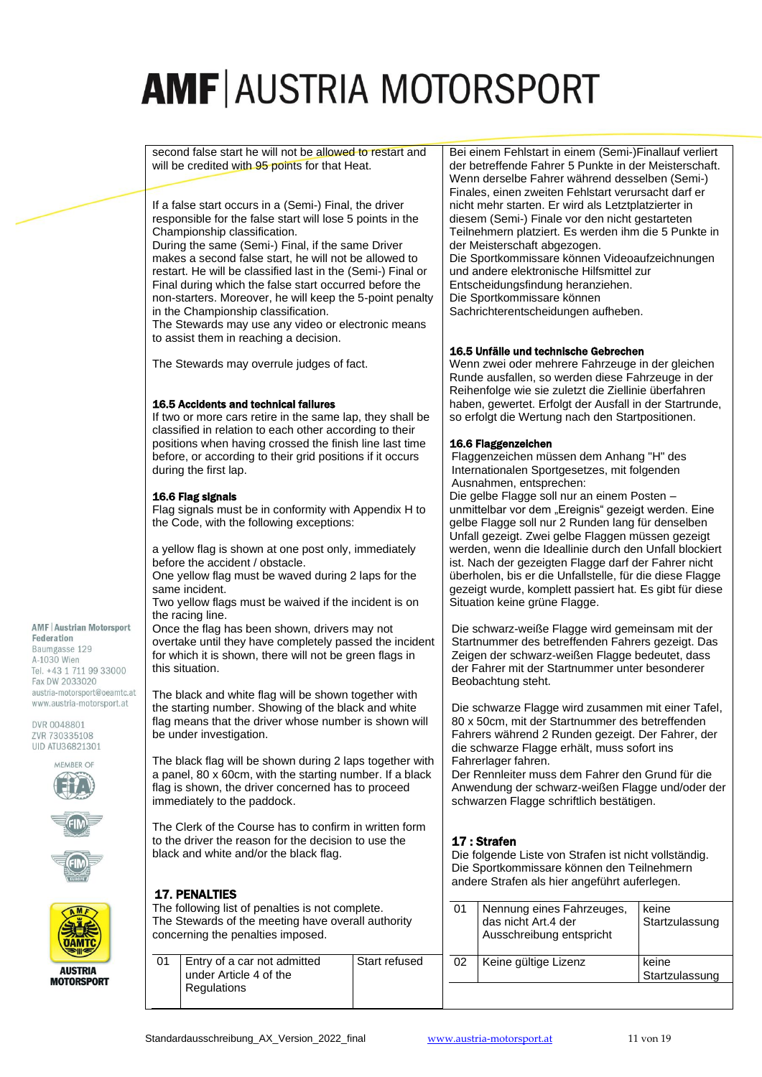second false start he will not be allowed to restart and will be credited with 95 points for that Heat.

If a false start occurs in a (Semi-) Final, the driver responsible for the false start will lose 5 points in the Championship classification.

During the same (Semi-) Final, if the same Driver makes a second false start, he will not be allowed to restart. He will be classified last in the (Semi-) Final or Final during which the false start occurred before the non-starters. Moreover, he will keep the 5-point penalty in the Championship classification.

The Stewards may use any video or electronic means to assist them in reaching a decision.

The Stewards may overrule judges of fact.

#### 16.5 Accidents and technical failures

If two or more cars retire in the same lap, they shall be classified in relation to each other according to their positions when having crossed the finish line last time before, or according to their grid positions if it occurs during the first lap.

#### 16.6 Flag signals

Flag signals must be in conformity with Appendix H to the Code, with the following exceptions:

a yellow flag is shown at one post only, immediately before the accident / obstacle.

One yellow flag must be waved during 2 laps for the same incident.

Two yellow flags must be waived if the incident is on the racing line.

Once the flag has been shown, drivers may not overtake until they have completely passed the incident for which it is shown, there will not be green flags in this situation.

The black and white flag will be shown together with the starting number. Showing of the black and white flag means that the driver whose number is shown will be under investigation.

The black flag will be shown during 2 laps together with a panel, 80 x 60cm, with the starting number. If a black flag is shown, the driver concerned has to proceed immediately to the paddock.

The Clerk of the Course has to confirm in written form to the driver the reason for the decision to use the black and white and/or the black flag.

The following list of penalties is not complete. The Stewards of the meeting have overall authority



**AMF | Austrian Motorsport** 

Federation Baumgasse 129 A-1030 Wien Tel. +43 1 711 99 33000 Fax DW 2033020 austria-motorsport@oeamtc.at www.austria-motorsport.at

DVR 0048801 ZVR 730335108 UID ATU36821301 MEMBER OF



**MOTORSPORT** 

Bei einem Fehlstart in einem (Semi-)Finallauf verliert der betreffende Fahrer 5 Punkte in der Meisterschaft. Wenn derselbe Fahrer während desselben (Semi-) Finales, einen zweiten Fehlstart verursacht darf er nicht mehr starten. Er wird als Letztplatzierter in diesem (Semi-) Finale vor den nicht gestarteten Teilnehmern platziert. Es werden ihm die 5 Punkte in der Meisterschaft abgezogen. Die Sportkommissare können Videoaufzeichnungen und andere elektronische Hilfsmittel zur Entscheidungsfindung heranziehen. Die Sportkommissare können Sachrichterentscheidungen aufheben.

#### 16.5 Unfälle und technische Gebrechen

Wenn zwei oder mehrere Fahrzeuge in der gleichen Runde ausfallen, so werden diese Fahrzeuge in der Reihenfolge wie sie zuletzt die Ziellinie überfahren haben, gewertet. Erfolgt der Ausfall in der Startrunde, so erfolgt die Wertung nach den Startpositionen.

#### 16.6 Flaggenzeichen

Flaggenzeichen müssen dem Anhang "H" des Internationalen Sportgesetzes, mit folgenden Ausnahmen, entsprechen:

Die gelbe Flagge soll nur an einem Posten – unmittelbar vor dem "Ereignis" gezeigt werden. Eine gelbe Flagge soll nur 2 Runden lang für denselben Unfall gezeigt. Zwei gelbe Flaggen müssen gezeigt werden, wenn die Ideallinie durch den Unfall blockiert ist. Nach der gezeigten Flagge darf der Fahrer nicht überholen, bis er die Unfallstelle, für die diese Flagge gezeigt wurde, komplett passiert hat. Es gibt für diese Situation keine grüne Flagge.

Die schwarz-weiße Flagge wird gemeinsam mit der Startnummer des betreffenden Fahrers gezeigt. Das Zeigen der schwarz-weißen Flagge bedeutet, dass der Fahrer mit der Startnummer unter besonderer Beobachtung steht.

Die schwarze Flagge wird zusammen mit einer Tafel, 80 x 50cm, mit der Startnummer des betreffenden Fahrers während 2 Runden gezeigt. Der Fahrer, der die schwarze Flagge erhält, muss sofort ins Fahrerlager fahren.

Der Rennleiter muss dem Fahrer den Grund für die Anwendung der schwarz-weißen Flagge und/oder der schwarzen Flagge schriftlich bestätigen.

### 17 : Strafen

Die folgende Liste von Strafen ist nicht vollständig. Die Sportkommissare können den Teilnehmern andere Strafen als hier angeführt auferlegen.

| 01 | Nennung eines Fahrzeuges,<br>das nicht Art.4 der<br>Ausschreibung entspricht | keine<br>Startzulassung |
|----|------------------------------------------------------------------------------|-------------------------|
| 02 | Keine gültige Lizenz                                                         | keine<br>Startzulassung |
|    |                                                                              |                         |

concerning the penalties imposed.

01 Entry of a car not admitted under Article 4 of the

**Regulations** 

17. PENALTIES

Start refused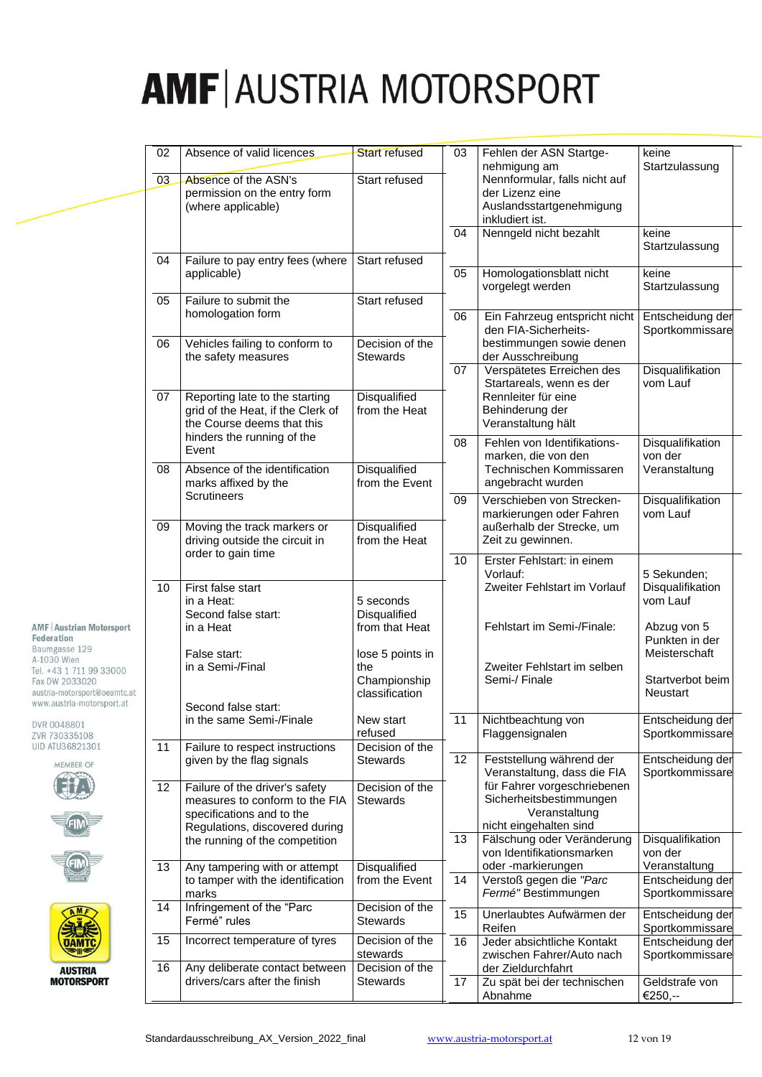|                                                | 02 | Absence of valid licences                                       | <b>Start refused</b>           | 03              | Fehlen der ASN Startge-<br>nehmigung am                 | keine<br>Startzulassung             |  |
|------------------------------------------------|----|-----------------------------------------------------------------|--------------------------------|-----------------|---------------------------------------------------------|-------------------------------------|--|
|                                                | 03 | Absence of the ASN's                                            | Start refused                  |                 | Nennformular, falls nicht auf                           |                                     |  |
|                                                |    | permission on the entry form<br>(where applicable)              |                                |                 | der Lizenz eine<br>Auslandsstartgenehmigung             |                                     |  |
|                                                |    |                                                                 |                                |                 | inkludiert ist.                                         |                                     |  |
|                                                |    |                                                                 |                                | 04              | Nenngeld nicht bezahlt                                  | keine<br>Startzulassung             |  |
|                                                | 04 | Failure to pay entry fees (where                                | Start refused                  |                 |                                                         |                                     |  |
|                                                |    | applicable)                                                     |                                | 05              | Homologationsblatt nicht<br>vorgelegt werden            | keine<br>Startzulassung             |  |
|                                                | 05 | Failure to submit the                                           | Start refused                  |                 |                                                         |                                     |  |
|                                                |    | homologation form                                               |                                | 06              | Ein Fahrzeug entspricht nicht                           | Entscheidung der                    |  |
|                                                | 06 | Vehicles failing to conform to                                  | Decision of the                |                 | den FIA-Sicherheits-<br>bestimmungen sowie denen        | Sportkommissare                     |  |
|                                                |    | the safety measures                                             | <b>Stewards</b>                |                 | der Ausschreibung                                       |                                     |  |
|                                                |    |                                                                 |                                | $\overline{07}$ | Verspätetes Erreichen des<br>Startareals, wenn es der   | Disqualifikation<br>vom Lauf        |  |
|                                                | 07 | Reporting late to the starting                                  | <b>Disqualified</b>            |                 | Rennleiter für eine                                     |                                     |  |
|                                                |    | grid of the Heat, if the Clerk of<br>the Course deems that this | from the Heat                  |                 | Behinderung der<br>Veranstaltung hält                   |                                     |  |
|                                                |    | hinders the running of the                                      |                                | 08              | Fehlen von Identifikations-                             | Disqualifikation                    |  |
|                                                |    | Event<br>Absence of the identification                          |                                |                 | marken, die von den                                     | von der                             |  |
|                                                | 08 | marks affixed by the                                            | Disqualified<br>from the Event |                 | Technischen Kommissaren<br>angebracht wurden            | Veranstaltung                       |  |
|                                                |    | Scrutineers                                                     |                                | 09              | Verschieben von Strecken-                               | Disqualifikation                    |  |
|                                                | 09 | Moving the track markers or                                     | Disqualified                   |                 | markierungen oder Fahren<br>außerhalb der Strecke, um   | vom Lauf                            |  |
|                                                |    | driving outside the circuit in                                  | from the Heat                  |                 | Zeit zu gewinnen.                                       |                                     |  |
|                                                |    | order to gain time                                              |                                | 10              | Erster Fehlstart: in einem                              |                                     |  |
|                                                | 10 | First false start                                               |                                |                 | Vorlauf:<br>Zweiter Fehlstart im Vorlauf                | 5 Sekunden;<br>Disqualifikation     |  |
|                                                |    | in a Heat:                                                      | 5 seconds                      |                 |                                                         | vom Lauf                            |  |
| <b>AMF   Austrian Motorsport</b>               |    | Second false start:<br>in a Heat                                | Disqualified<br>from that Heat |                 | Fehlstart im Semi-/Finale:                              | Abzug von 5                         |  |
| Federation<br>Baumgasse 129                    |    |                                                                 |                                |                 |                                                         | Punkten in der                      |  |
| A-1030 Wien<br>Tel. +43 1 711 99 33000         |    | False start:<br>in a Semi-/Final                                | lose 5 points in<br>the        |                 | Zweiter Fehlstart im selben                             | Meisterschaft                       |  |
| Fax DW 2033020<br>austria-motorsport@oeamtc.at |    |                                                                 | Championship<br>classification |                 | Semi-/ Finale                                           | Startverbot beim<br>Neustart        |  |
| www.austria-motorsport.at                      |    | Second false start:                                             |                                |                 |                                                         |                                     |  |
| DVR 0048801                                    |    | in the same Semi-/Finale                                        | New start<br>refused           | 11              | Nichtbeachtung von                                      | Entscheidung der<br>Sportkommissare |  |
| ZVR 730335108<br>UID ATU36821301               | 11 | Failure to respect instructions                                 | Decision of the                |                 | Flaggensignalen                                         |                                     |  |
| <b>MEMBER OF</b>                               |    | given by the flag signals                                       | <b>Stewards</b>                | 12              | Feststellung während der<br>Veranstaltung, dass die FIA | Entscheidung der<br>Sportkommissare |  |
|                                                | 12 | Failure of the driver's safety                                  | Decision of the                |                 | für Fahrer vorgeschriebenen                             |                                     |  |
|                                                |    | measures to conform to the FIA<br>specifications and to the     | Stewards                       |                 | Sicherheitsbestimmungen<br>Veranstaltung                |                                     |  |
|                                                |    | Regulations, discovered during                                  |                                |                 | nicht eingehalten sind                                  |                                     |  |
|                                                |    | the running of the competition                                  |                                | 13              | Fälschung oder Veränderung<br>von Identifikationsmarken | Disqualifikation<br>von der         |  |
|                                                | 13 | Any tampering with or attempt                                   | Disqualified                   |                 | oder-markierungen                                       | Veranstaltung                       |  |
|                                                |    | to tamper with the identification<br>marks                      | from the Event                 | 14              | Verstoß gegen die "Parc<br>Fermé" Bestimmungen          | Entscheidung der<br>Sportkommissare |  |
|                                                | 14 | Infringement of the "Parc                                       | Decision of the                | 15              | Unerlaubtes Aufwärmen der                               | Entscheidung der                    |  |
|                                                |    | Fermé" rules                                                    | <b>Stewards</b>                |                 | Reifen                                                  | Sportkommissare                     |  |
|                                                | 15 | Incorrect temperature of tyres                                  | Decision of the<br>stewards    | 16              | Jeder absichtliche Kontakt<br>zwischen Fahrer/Auto nach | Entscheidung der<br>Sportkommissare |  |
| <b>AUSTRIA</b>                                 | 16 | Any deliberate contact between                                  | Decision of the                |                 | der Zieldurchfahrt                                      |                                     |  |
| MOTORSPORT                                     |    | drivers/cars after the finish                                   | <b>Stewards</b>                | 17              | Zu spät bei der technischen<br>Abnahme                  | Geldstrafe von<br>€250,--           |  |
|                                                |    |                                                                 |                                |                 |                                                         |                                     |  |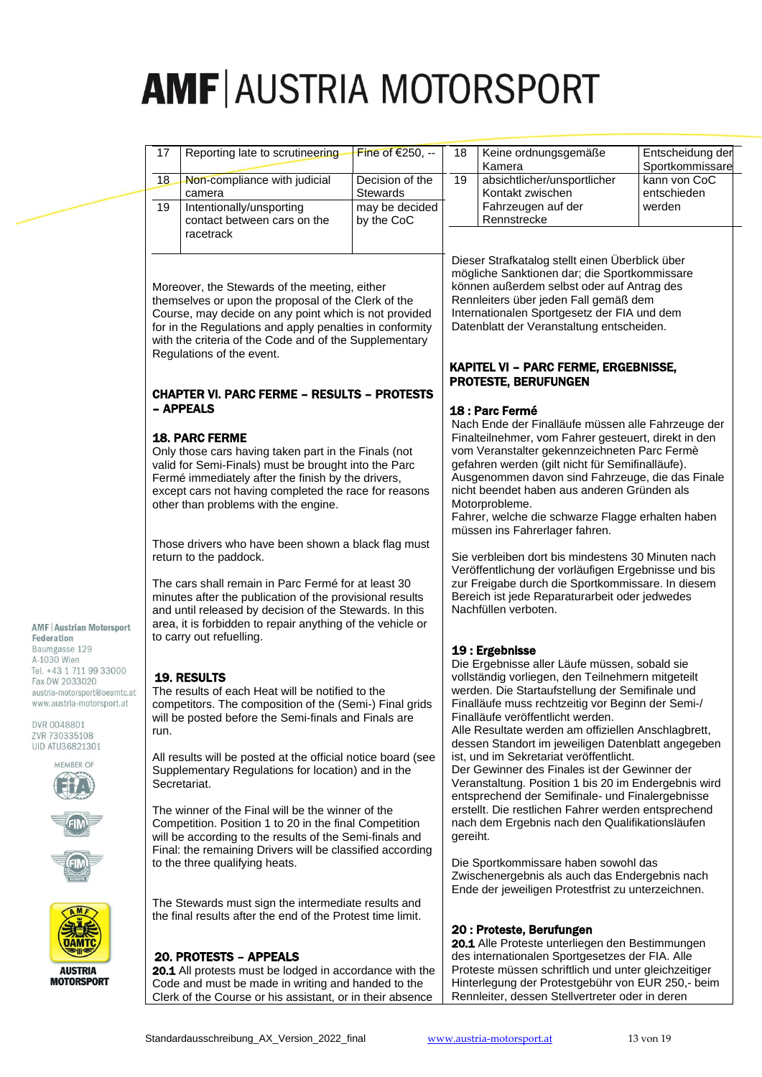| 17                                                                                                                                                                                                                                                                                                                                                                                                                                                                                                                                                                                                                                           | Reporting late to scrutineering                                                                                                                                                                                                                                                                                  | Fine of €250, --             | 18              | Keine ordnungsgemäße<br>Kamera                                                                                                                                                                                                                                                                                                                                                                                                                                                                                                                                                                                                                                                                                                                                                                          | Entscheidung der<br>Sportkommissare |  |  |
|----------------------------------------------------------------------------------------------------------------------------------------------------------------------------------------------------------------------------------------------------------------------------------------------------------------------------------------------------------------------------------------------------------------------------------------------------------------------------------------------------------------------------------------------------------------------------------------------------------------------------------------------|------------------------------------------------------------------------------------------------------------------------------------------------------------------------------------------------------------------------------------------------------------------------------------------------------------------|------------------------------|-----------------|---------------------------------------------------------------------------------------------------------------------------------------------------------------------------------------------------------------------------------------------------------------------------------------------------------------------------------------------------------------------------------------------------------------------------------------------------------------------------------------------------------------------------------------------------------------------------------------------------------------------------------------------------------------------------------------------------------------------------------------------------------------------------------------------------------|-------------------------------------|--|--|
| 18                                                                                                                                                                                                                                                                                                                                                                                                                                                                                                                                                                                                                                           | Non-compliance with judicial<br>camera                                                                                                                                                                                                                                                                           | Decision of the<br>Stewards  | $\overline{19}$ | absichtlicher/unsportlicher<br>Kontakt zwischen                                                                                                                                                                                                                                                                                                                                                                                                                                                                                                                                                                                                                                                                                                                                                         | kann von CoC<br>entschieden         |  |  |
| 19                                                                                                                                                                                                                                                                                                                                                                                                                                                                                                                                                                                                                                           | Intentionally/unsporting<br>contact between cars on the<br>racetrack                                                                                                                                                                                                                                             | may be decided<br>by the CoC |                 | Fahrzeugen auf der<br>Rennstrecke                                                                                                                                                                                                                                                                                                                                                                                                                                                                                                                                                                                                                                                                                                                                                                       | werden                              |  |  |
|                                                                                                                                                                                                                                                                                                                                                                                                                                                                                                                                                                                                                                              | Moreover, the Stewards of the meeting, either<br>themselves or upon the proposal of the Clerk of the<br>Course, may decide on any point which is not provided<br>for in the Regulations and apply penalties in conformity<br>with the criteria of the Code and of the Supplementary<br>Regulations of the event. |                              |                 | Dieser Strafkatalog stellt einen Überblick über<br>mögliche Sanktionen dar; die Sportkommissare<br>können außerdem selbst oder auf Antrag des<br>Rennleiters über jeden Fall gemäß dem<br>Internationalen Sportgesetz der FIA und dem<br>Datenblatt der Veranstaltung entscheiden.<br>KAPITEL VI - PARC FERME, ERGEBNISSE,                                                                                                                                                                                                                                                                                                                                                                                                                                                                              |                                     |  |  |
|                                                                                                                                                                                                                                                                                                                                                                                                                                                                                                                                                                                                                                              | <b>CHAPTER VI. PARC FERME - RESULTS - PROTESTS</b><br>- APPEALS                                                                                                                                                                                                                                                  |                              |                 | <b>PROTESTE, BERUFUNGEN</b>                                                                                                                                                                                                                                                                                                                                                                                                                                                                                                                                                                                                                                                                                                                                                                             |                                     |  |  |
|                                                                                                                                                                                                                                                                                                                                                                                                                                                                                                                                                                                                                                              | <b>18. PARC FERME</b><br>Only those cars having taken part in the Finals (not<br>valid for Semi-Finals) must be brought into the Parc<br>Fermé immediately after the finish by the drivers,<br>except cars not having completed the race for reasons<br>other than problems with the engine.                     |                              |                 | 18 : Parc Fermé<br>Nach Ende der Finalläufe müssen alle Fahrzeuge der<br>Finalteilnehmer, vom Fahrer gesteuert, direkt in den<br>vom Veranstalter gekennzeichneten Parc Fermè<br>gefahren werden (gilt nicht für Semifinalläufe).<br>Ausgenommen davon sind Fahrzeuge, die das Finale<br>nicht beendet haben aus anderen Gründen als<br>Motorprobleme.<br>Fahrer, welche die schwarze Flagge erhalten haben                                                                                                                                                                                                                                                                                                                                                                                             |                                     |  |  |
| Those drivers who have been shown a black flag must<br>return to the paddock.<br>The cars shall remain in Parc Fermé for at least 30<br>minutes after the publication of the provisional results<br>and until released by decision of the Stewards. In this<br>area, it is forbidden to repair anything of the vehicle or                                                                                                                                                                                                                                                                                                                    |                                                                                                                                                                                                                                                                                                                  |                              |                 | müssen ins Fahrerlager fahren.<br>Sie verbleiben dort bis mindestens 30 Minuten nach<br>Veröffentlichung der vorläufigen Ergebnisse und bis<br>zur Freigabe durch die Sportkommissare. In diesem<br>Bereich ist jede Reparaturarbeit oder jedwedes<br>Nachfüllen verboten.                                                                                                                                                                                                                                                                                                                                                                                                                                                                                                                              |                                     |  |  |
| to carry out refuelling.<br><b>19. RESULTS</b><br>The results of each Heat will be notified to the<br>competitors. The composition of the (Semi-) Final grids<br>will be posted before the Semi-finals and Finals are<br>run.<br>All results will be posted at the official notice board (see<br>Supplementary Regulations for location) and in the<br>Secretariat.<br>The winner of the Final will be the winner of the<br>Competition. Position 1 to 20 in the final Competition<br>will be according to the results of the Semi-finals and<br>Final: the remaining Drivers will be classified according<br>to the three qualifying heats. |                                                                                                                                                                                                                                                                                                                  |                              |                 | 19 : Ergebnisse<br>Die Ergebnisse aller Läufe müssen, sobald sie<br>vollständig vorliegen, den Teilnehmern mitgeteilt<br>werden. Die Startaufstellung der Semifinale und<br>Finalläufe muss rechtzeitig vor Beginn der Semi-/<br>Finalläufe veröffentlicht werden.<br>Alle Resultate werden am offiziellen Anschlagbrett,<br>dessen Standort im jeweiligen Datenblatt angegeben<br>ist, und im Sekretariat veröffentlicht.<br>Der Gewinner des Finales ist der Gewinner der<br>Veranstaltung. Position 1 bis 20 im Endergebnis wird<br>entsprechend der Semifinale- und Finalergebnisse<br>erstellt. Die restlichen Fahrer werden entsprechend<br>nach dem Ergebnis nach den Qualifikationsläufen<br>gereiht.<br>Die Sportkommissare haben sowohl das<br>Zwischenergebnis als auch das Endergebnis nach |                                     |  |  |
|                                                                                                                                                                                                                                                                                                                                                                                                                                                                                                                                                                                                                                              | The Stewards must sign the intermediate results and<br>the final results after the end of the Protest time limit.                                                                                                                                                                                                |                              |                 | Ende der jeweiligen Protestfrist zu unterzeichnen.                                                                                                                                                                                                                                                                                                                                                                                                                                                                                                                                                                                                                                                                                                                                                      |                                     |  |  |
|                                                                                                                                                                                                                                                                                                                                                                                                                                                                                                                                                                                                                                              | <b>20. PROTESTS - APPEALS</b><br>20.1 All protests must be lodged in accordance with the<br>Code and must be made in writing and handed to the<br>Clerk of the Course or his assistant, or in their absence                                                                                                      |                              |                 | 20 : Proteste, Berufungen<br>20.1 Alle Proteste unterliegen den Bestimmungen<br>des internationalen Sportgesetzes der FIA. Alle<br>Proteste müssen schriftlich und unter gleichzeitiger<br>Hinterlegung der Protestgebühr von EUR 250,- beim<br>Rennleiter, dessen Stellvertreter oder in deren                                                                                                                                                                                                                                                                                                                                                                                                                                                                                                         |                                     |  |  |

#### 美装 **OAMTC**

#### **AUSTRIA MOTORSPORT**

**AMF | Austrian Motorsport** 

Federation Baumgasse 129 A-1030 Wien Tel. +43 1 711 99 33000 Fax DW 2033020 austria-motorsport@oeamtc.at www.austria-motorsport.at

DVR 0048801 ZVR 730335108 UID ATU36821301 MEMBER OF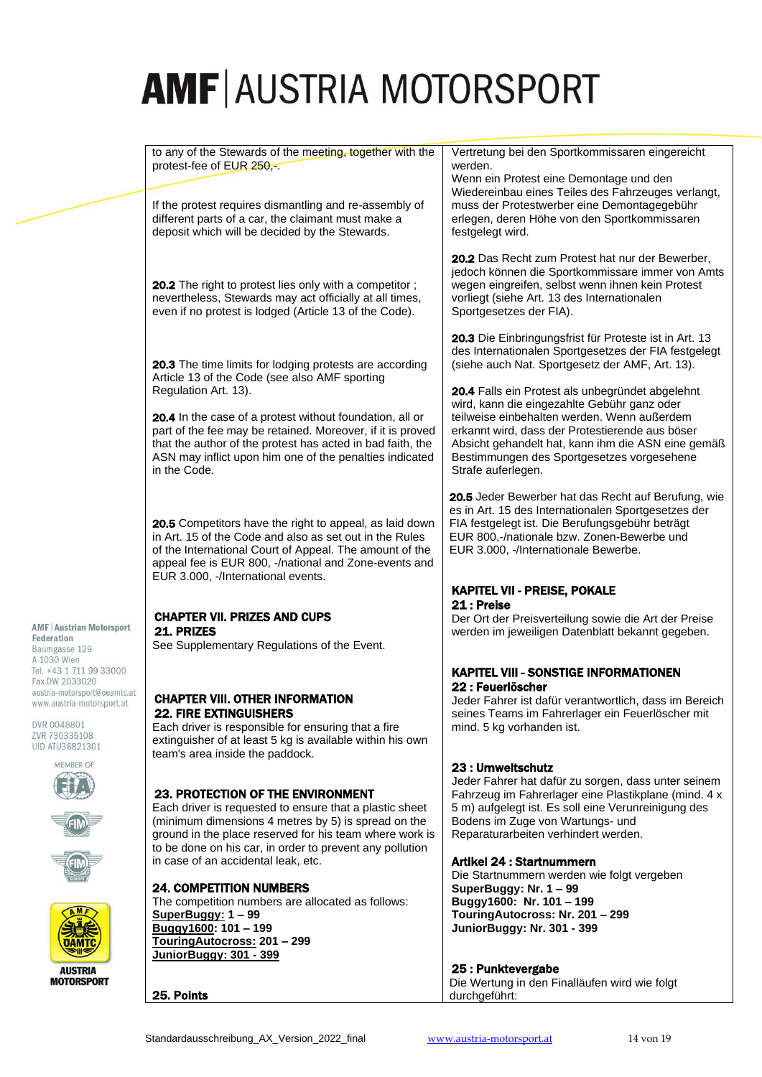to any of the Stewards of the meeting, together with the protest-fee of EUR 250.-. If the protest requires dismantling and re-assembly of different parts of a car, the claimant must make a deposit which will be decided by the Stewards. 20.2 The right to protest lies only with a competitor; nevertheless, Stewards may act officially at all times, even if no protest is lodged (Article 13 of the Code). 20.3 The time limits for lodging protests are according Article 13 of the Code (see also AMF sporting Regulation Art. 13). 20.4 In the case of a protest without foundation, all or part of the fee may be retained. Moreover, if it is proved that the author of the protest has acted in bad faith, the ASN may inflict upon him one of the penalties indicated in the Code. 20.5 Competitors have the right to appeal, as laid down in Art. 15 of the Code and also as set out in the Rules of the International Court of Appeal. The amount of the appeal fee is EUR 800, -/national and Zone-events and EUR 3.000, -/International events. CHAPTER VII. PRIZES AND CUPS 21. PRIZES See Supplementary Regulations of the Event. CHAPTER VIII. OTHER INFORMATION 22. FIRE EXTINGUISHERS Each driver is responsible for ensuring that a fire extinguisher of at least 5 kg is available within his own team's area inside the paddock. 23. PROTECTION OF THE ENVIRONMENT Each driver is requested to ensure that a plastic sheet (minimum dimensions 4 metres by 5) is spread on the ground in the place reserved for his team where work is to be done on his car, in order to prevent any pollution in case of an accidental leak, etc. 24. COMPETITION NUMBERS The competition numbers are allocated as follows: **SuperBuggy: 1 – 99 Buggy1600: 101 – 199** Vertretung bei den Sportkommissaren eingereicht werden. Wenn ein Protest eine Demontage und den Wiedereinbau eines Teiles des Fahrzeuges verlangt, muss der Protestwerber eine Demontagegebühr erlegen, deren Höhe von den Sportkommissaren festgelegt wird. 20.2 Das Recht zum Protest hat nur der Bewerber, jedoch können die Sportkommissare immer von Amts wegen eingreifen, selbst wenn ihnen kein Protest vorliegt (siehe Art. 13 des Internationalen Sportgesetzes der FIA). 20.3 Die Einbringungsfrist für Proteste ist in Art. 13 des Internationalen Sportgesetzes der FIA festgelegt (siehe auch Nat. Sportgesetz der AMF, Art. 13). 20.4 Falls ein Protest als unbegründet abgelehnt wird, kann die eingezahlte Gebühr ganz oder teilweise einbehalten werden. Wenn außerdem erkannt wird, dass der Protestierende aus böser Absicht gehandelt hat, kann ihm die ASN eine gemäß Bestimmungen des Sportgesetzes vorgesehene Strafe auferlegen. 20.5 Jeder Bewerber hat das Recht auf Berufung, wie es in Art. 15 des Internationalen Sportgesetzes der FIA festgelegt ist. Die Berufungsgebühr beträgt EUR 800,-/nationale bzw. Zonen-Bewerbe und EUR 3.000, -/Internationale Bewerbe. KAPITEL VII - PREISE, POKALE 21 : Preise Der Ort der Preisverteilung sowie die Art der Preise werden im jeweiligen Datenblatt bekannt gegeben. KAPITEL VIII - SONSTIGE INFORMATIONEN 22 : Feuerlöscher Jeder Fahrer ist dafür verantwortlich, dass im Bereich seines Teams im Fahrerlager ein Feuerlöscher mit mind. 5 kg vorhanden ist. 23 : Umweltschutz Jeder Fahrer hat dafür zu sorgen, dass unter seinem Fahrzeug im Fahrerlager eine Plastikplane (mind. 4 x 5 m) aufgelegt ist. Es soll eine Verunreinigung des Bodens im Zuge von Wartungs- und Reparaturarbeiten verhindert werden. Artikel 24 : Startnummern Die Startnummern werden wie folgt vergeben **SuperBuggy: Nr. 1 – 99 Buggy1600: Nr. 101 – 199 TouringAutocross: Nr. 201 – 299 JuniorBuggy: Nr. 301 - 399**

# 25 : Punktevergabe

Die Wertung in den Finalläufen wird wie folgt durchgeführt:

**AMF | Austrian Motorsport** Federation Baumgasse 129 A-1030 Wien Tel. +43 1 711 99 33000 Fax DW 2033020 austria-motorsport@oeamtc.at

DVR 0048801 ZVR 730335108 UID ATU36821301

www.austria-motorsport.at









**AUSTRIA MOTORSPORT** 

**TouringAutocross: 201 – 299 JuniorBuggy: 301 - 399**

25. Points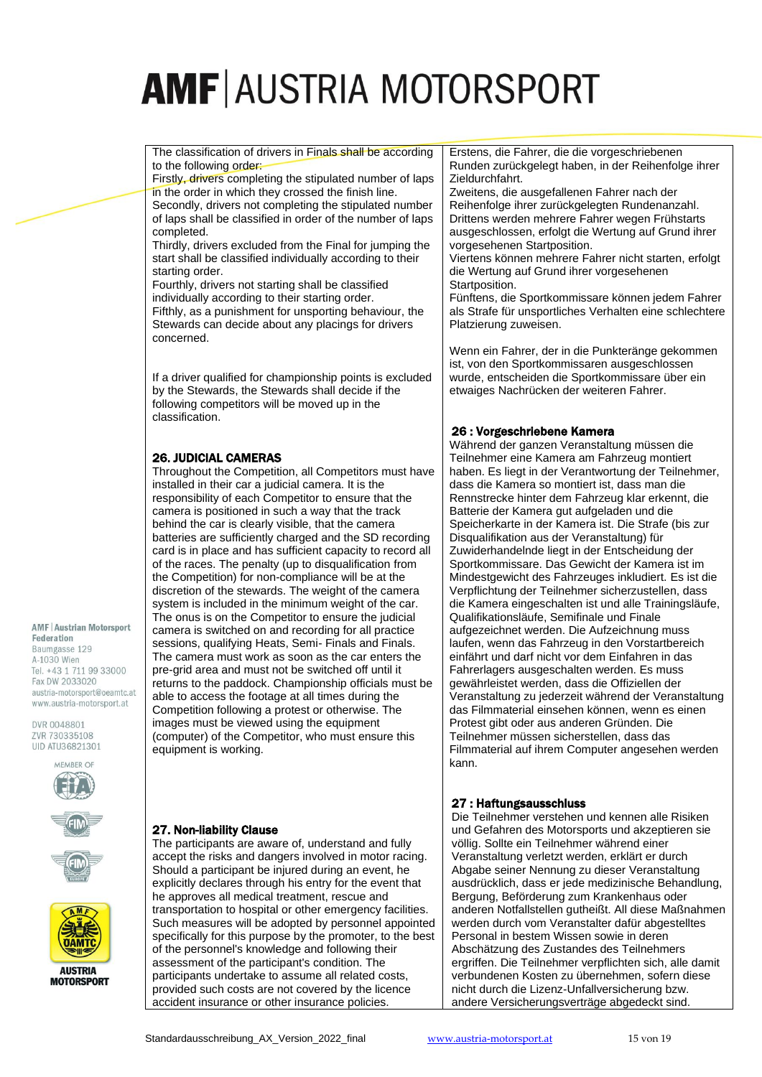The classification of drivers in Finals shall be according to the following order:

Firstly, drivers completing the stipulated number of laps in the order in which they crossed the finish line. Secondly, drivers not completing the stipulated number of laps shall be classified in order of the number of laps completed.

Thirdly, drivers excluded from the Final for jumping the start shall be classified individually according to their starting order.

Fourthly, drivers not starting shall be classified individually according to their starting order. Fifthly, as a punishment for unsporting behaviour, the Stewards can decide about any placings for drivers concerned.

If a driver qualified for championship points is excluded by the Stewards, the Stewards shall decide if the following competitors will be moved up in the classification.

# 26. JUDICIAL CAMERAS

Throughout the Competition, all Competitors must have installed in their car a judicial camera. It is the responsibility of each Competitor to ensure that the camera is positioned in such a way that the track behind the car is clearly visible, that the camera batteries are sufficiently charged and the SD recording card is in place and has sufficient capacity to record all of the races. The penalty (up to disqualification from the Competition) for non-compliance will be at the discretion of the stewards. The weight of the camera system is included in the minimum weight of the car. The onus is on the Competitor to ensure the judicial camera is switched on and recording for all practice sessions, qualifying Heats, Semi- Finals and Finals. The camera must work as soon as the car enters the pre-grid area and must not be switched off until it returns to the paddock. Championship officials must be able to access the footage at all times during the Competition following a protest or otherwise. The images must be viewed using the equipment (computer) of the Competitor, who must ensure this equipment is working.

**AMF | Austrian Motorsport** Federation Baumgasse 129 A-1030 Wien Tel. +43 1 711 99 33000 Fax DW 2033020 austria-motorsport@oeamtc.at

www.austria-motorsport.at

DVR 0048801 ZVR 730335108 UID ATU36821301









**MOTORSPORT** 

### 27. Non-liability Clause

The participants are aware of, understand and fully accept the risks and dangers involved in motor racing. Should a participant be injured during an event, he explicitly declares through his entry for the event that he approves all medical treatment, rescue and transportation to hospital or other emergency facilities. Such measures will be adopted by personnel appointed specifically for this purpose by the promoter, to the best of the personnel's knowledge and following their assessment of the participant's condition. The participants undertake to assume all related costs, provided such costs are not covered by the licence accident insurance or other insurance policies.

Erstens, die Fahrer, die die vorgeschriebenen Runden zurückgelegt haben, in der Reihenfolge ihrer Zieldurchfahrt.

Zweitens, die ausgefallenen Fahrer nach der Reihenfolge ihrer zurückgelegten Rundenanzahl. Drittens werden mehrere Fahrer wegen Frühstarts ausgeschlossen, erfolgt die Wertung auf Grund ihrer vorgesehenen Startposition.

Viertens können mehrere Fahrer nicht starten, erfolgt die Wertung auf Grund ihrer vorgesehenen Startposition

Fünftens, die Sportkommissare können jedem Fahrer als Strafe für unsportliches Verhalten eine schlechtere Platzierung zuweisen.

Wenn ein Fahrer, der in die Punkteränge gekommen ist, von den Sportkommissaren ausgeschlossen wurde, entscheiden die Sportkommissare über ein etwaiges Nachrücken der weiteren Fahrer.

# 26 : Vorgeschriebene Kamera

Während der ganzen Veranstaltung müssen die Teilnehmer eine Kamera am Fahrzeug montiert haben. Es liegt in der Verantwortung der Teilnehmer, dass die Kamera so montiert ist, dass man die Rennstrecke hinter dem Fahrzeug klar erkennt, die Batterie der Kamera gut aufgeladen und die Speicherkarte in der Kamera ist. Die Strafe (bis zur Disqualifikation aus der Veranstaltung) für Zuwiderhandelnde liegt in der Entscheidung der Sportkommissare. Das Gewicht der Kamera ist im Mindestgewicht des Fahrzeuges inkludiert. Es ist die Verpflichtung der Teilnehmer sicherzustellen, dass die Kamera eingeschalten ist und alle Trainingsläufe, Qualifikationsläufe, Semifinale und Finale aufgezeichnet werden. Die Aufzeichnung muss laufen, wenn das Fahrzeug in den Vorstartbereich einfährt und darf nicht vor dem Einfahren in das Fahrerlagers ausgeschalten werden. Es muss gewährleistet werden, dass die Offiziellen der Veranstaltung zu jederzeit während der Veranstaltung das Filmmaterial einsehen können, wenn es einen Protest gibt oder aus anderen Gründen. Die Teilnehmer müssen sicherstellen, dass das Filmmaterial auf ihrem Computer angesehen werden kann.

# 27 : Haftungsausschluss

Die Teilnehmer verstehen und kennen alle Risiken und Gefahren des Motorsports und akzeptieren sie völlig. Sollte ein Teilnehmer während einer Veranstaltung verletzt werden, erklärt er durch Abgabe seiner Nennung zu dieser Veranstaltung ausdrücklich, dass er jede medizinische Behandlung, Bergung, Beförderung zum Krankenhaus oder anderen Notfallstellen gutheißt. All diese Maßnahmen werden durch vom Veranstalter dafür abgestelltes Personal in bestem Wissen sowie in deren Abschätzung des Zustandes des Teilnehmers ergriffen. Die Teilnehmer verpflichten sich, alle damit verbundenen Kosten zu übernehmen, sofern diese nicht durch die Lizenz-Unfallversicherung bzw. andere Versicherungsverträge abgedeckt sind.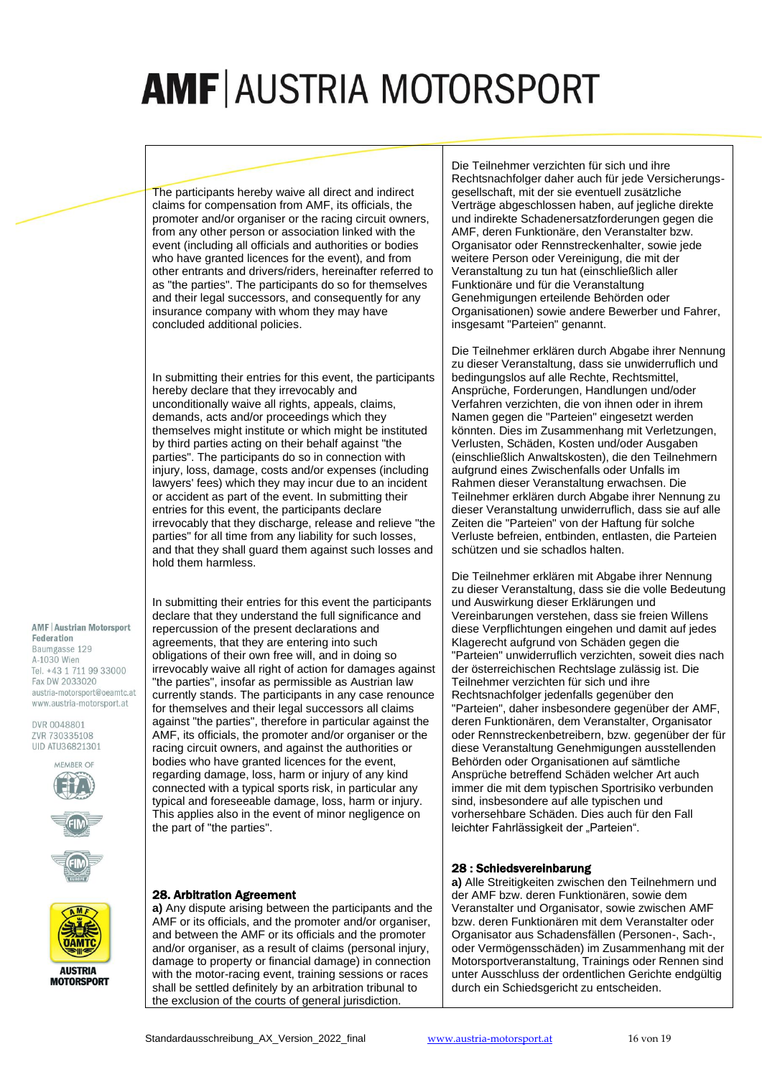The participants hereby waive all direct and indirect claims for compensation from AMF, its officials, the promoter and/or organiser or the racing circuit owners, from any other person or association linked with the event (including all officials and authorities or bodies who have granted licences for the event), and from other entrants and drivers/riders, hereinafter referred to as "the parties". The participants do so for themselves and their legal successors, and consequently for any insurance company with whom they may have concluded additional policies.

In submitting their entries for this event, the participants hereby declare that they irrevocably and unconditionally waive all rights, appeals, claims, demands, acts and/or proceedings which they themselves might institute or which might be instituted by third parties acting on their behalf against "the parties". The participants do so in connection with injury, loss, damage, costs and/or expenses (including lawyers' fees) which they may incur due to an incident or accident as part of the event. In submitting their entries for this event, the participants declare irrevocably that they discharge, release and relieve "the parties" for all time from any liability for such losses, and that they shall guard them against such losses and hold them harmless.

**AMF | Austrian Motorsport** Federation Baumgasse 129 A-1030 Wien Tel. +43 1 711 99 33000 Fax DW 2033020 austria-motorsport@oeamtc.at www.austria-motorsport.at

DVR 0048801 ZVR 730335108 UID ATU36821301







In submitting their entries for this event the participants declare that they understand the full significance and repercussion of the present declarations and agreements, that they are entering into such obligations of their own free will, and in doing so irrevocably waive all right of action for damages against "the parties", insofar as permissible as Austrian law currently stands. The participants in any case renounce for themselves and their legal successors all claims against "the parties", therefore in particular against the AMF, its officials, the promoter and/or organiser or the racing circuit owners, and against the authorities or bodies who have granted licences for the event, regarding damage, loss, harm or injury of any kind connected with a typical sports risk, in particular any typical and foreseeable damage, loss, harm or injury. This applies also in the event of minor negligence on the part of "the parties".

#### 28. Arbitration Agreement

**a)** Any dispute arising between the participants and the AMF or its officials, and the promoter and/or organiser, and between the AMF or its officials and the promoter and/or organiser, as a result of claims (personal injury, damage to property or financial damage) in connection with the motor-racing event, training sessions or races shall be settled definitely by an arbitration tribunal to the exclusion of the courts of general jurisdiction.

Die Teilnehmer verzichten für sich und ihre Rechtsnachfolger daher auch für jede Versicherungsgesellschaft, mit der sie eventuell zusätzliche Verträge abgeschlossen haben, auf jegliche direkte und indirekte Schadenersatzforderungen gegen die AMF, deren Funktionäre, den Veranstalter bzw. Organisator oder Rennstreckenhalter, sowie jede weitere Person oder Vereinigung, die mit der Veranstaltung zu tun hat (einschließlich aller Funktionäre und für die Veranstaltung Genehmigungen erteilende Behörden oder Organisationen) sowie andere Bewerber und Fahrer, insgesamt "Parteien" genannt.

Die Teilnehmer erklären durch Abgabe ihrer Nennung zu dieser Veranstaltung, dass sie unwiderruflich und bedingungslos auf alle Rechte, Rechtsmittel, Ansprüche, Forderungen, Handlungen und/oder Verfahren verzichten, die von ihnen oder in ihrem Namen gegen die "Parteien" eingesetzt werden könnten. Dies im Zusammenhang mit Verletzungen, Verlusten, Schäden, Kosten und/oder Ausgaben (einschließlich Anwaltskosten), die den Teilnehmern aufgrund eines Zwischenfalls oder Unfalls im Rahmen dieser Veranstaltung erwachsen. Die Teilnehmer erklären durch Abgabe ihrer Nennung zu dieser Veranstaltung unwiderruflich, dass sie auf alle Zeiten die "Parteien" von der Haftung für solche Verluste befreien, entbinden, entlasten, die Parteien schützen und sie schadlos halten.

Die Teilnehmer erklären mit Abgabe ihrer Nennung zu dieser Veranstaltung, dass sie die volle Bedeutung und Auswirkung dieser Erklärungen und Vereinbarungen verstehen, dass sie freien Willens diese Verpflichtungen eingehen und damit auf jedes Klagerecht aufgrund von Schäden gegen die "Parteien" unwiderruflich verzichten, soweit dies nach der österreichischen Rechtslage zulässig ist. Die Teilnehmer verzichten für sich und ihre Rechtsnachfolger jedenfalls gegenüber den "Parteien", daher insbesondere gegenüber der AMF, deren Funktionären, dem Veranstalter, Organisator oder Rennstreckenbetreibern, bzw. gegenüber der für diese Veranstaltung Genehmigungen ausstellenden Behörden oder Organisationen auf sämtliche Ansprüche betreffend Schäden welcher Art auch immer die mit dem typischen Sportrisiko verbunden sind, insbesondere auf alle typischen und vorhersehbare Schäden. Dies auch für den Fall leichter Fahrlässigkeit der "Parteien".

#### 28 : Schiedsvereinbarung

**a)** Alle Streitigkeiten zwischen den Teilnehmern und der AMF bzw. deren Funktionären, sowie dem Veranstalter und Organisator, sowie zwischen AMF bzw. deren Funktionären mit dem Veranstalter oder Organisator aus Schadensfällen (Personen-, Sach-, oder Vermögensschäden) im Zusammenhang mit der Motorsportveranstaltung, Trainings oder Rennen sind unter Ausschluss der ordentlichen Gerichte endgültig durch ein Schiedsgericht zu entscheiden.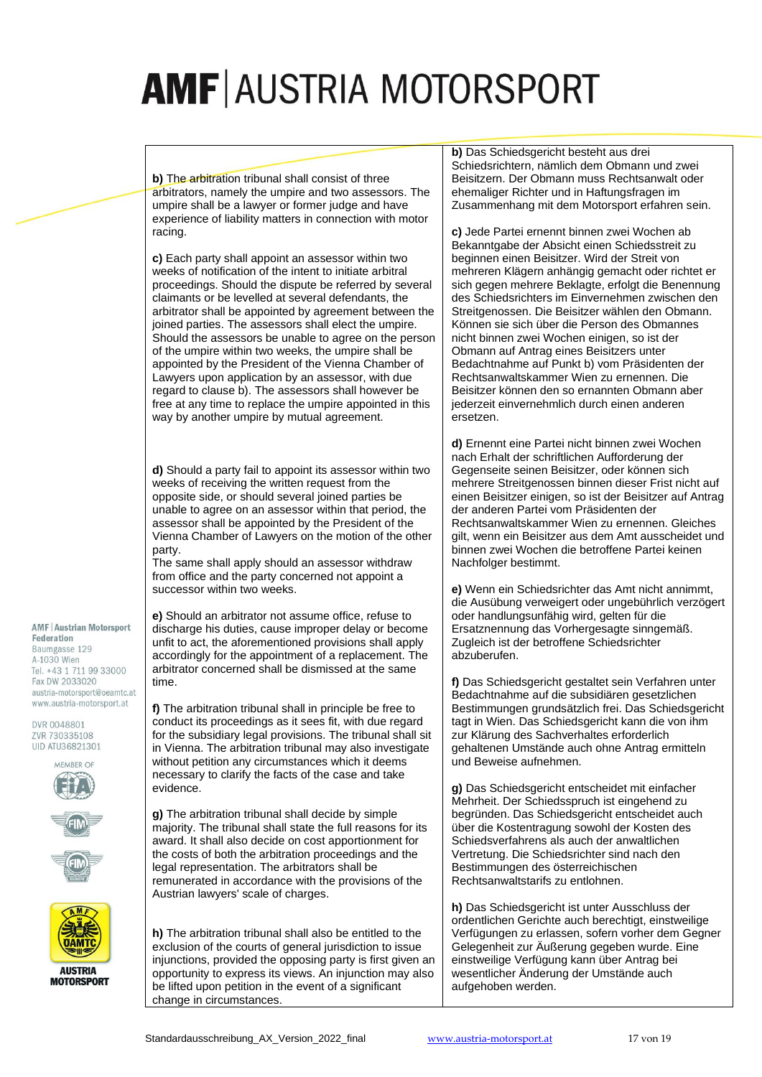**b)** The arbitration tribunal shall consist of three arbitrators, namely the umpire and two assessors. The umpire shall be a lawyer or former judge and have experience of liability matters in connection with motor racing.

**c)** Each party shall appoint an assessor within two weeks of notification of the intent to initiate arbitral proceedings. Should the dispute be referred by several claimants or be levelled at several defendants, the arbitrator shall be appointed by agreement between the joined parties. The assessors shall elect the umpire. Should the assessors be unable to agree on the person of the umpire within two weeks, the umpire shall be appointed by the President of the Vienna Chamber of Lawyers upon application by an assessor, with due regard to clause b). The assessors shall however be free at any time to replace the umpire appointed in this way by another umpire by mutual agreement.

**d)** Should a party fail to appoint its assessor within two weeks of receiving the written request from the opposite side, or should several joined parties be unable to agree on an assessor within that period, the assessor shall be appointed by the President of the Vienna Chamber of Lawyers on the motion of the other party.

The same shall apply should an assessor withdraw from office and the party concerned not appoint a successor within two weeks.

**e)** Should an arbitrator not assume office, refuse to discharge his duties, cause improper delay or become unfit to act, the aforementioned provisions shall apply accordingly for the appointment of a replacement. The arbitrator concerned shall be dismissed at the same time.

**f)** The arbitration tribunal shall in principle be free to conduct its proceedings as it sees fit, with due regard for the subsidiary legal provisions. The tribunal shall sit in Vienna. The arbitration tribunal may also investigate without petition any circumstances which it deems necessary to clarify the facts of the case and take evidence.

**g)** The arbitration tribunal shall decide by simple majority. The tribunal shall state the full reasons for its award. It shall also decide on cost apportionment for the costs of both the arbitration proceedings and the legal representation. The arbitrators shall be remunerated in accordance with the provisions of the Austrian lawyers' scale of charges.

**h)** The arbitration tribunal shall also be entitled to the exclusion of the courts of general jurisdiction to issue injunctions, provided the opposing party is first given an opportunity to express its views. An injunction may also be lifted upon petition in the event of a significant change in circumstances.

**b)** Das Schiedsgericht besteht aus drei Schiedsrichtern, nämlich dem Obmann und zwei Beisitzern. Der Obmann muss Rechtsanwalt oder ehemaliger Richter und in Haftungsfragen im Zusammenhang mit dem Motorsport erfahren sein.

**c)** Jede Partei ernennt binnen zwei Wochen ab Bekanntgabe der Absicht einen Schiedsstreit zu beginnen einen Beisitzer. Wird der Streit von mehreren Klägern anhängig gemacht oder richtet er sich gegen mehrere Beklagte, erfolgt die Benennung des Schiedsrichters im Einvernehmen zwischen den Streitgenossen. Die Beisitzer wählen den Obmann. Können sie sich über die Person des Obmannes nicht binnen zwei Wochen einigen, so ist der Obmann auf Antrag eines Beisitzers unter Bedachtnahme auf Punkt b) vom Präsidenten der Rechtsanwaltskammer Wien zu ernennen. Die Beisitzer können den so ernannten Obmann aber jederzeit einvernehmlich durch einen anderen .<br>ersetzen

**d)** Ernennt eine Partei nicht binnen zwei Wochen nach Erhalt der schriftlichen Aufforderung der Gegenseite seinen Beisitzer, oder können sich mehrere Streitgenossen binnen dieser Frist nicht auf einen Beisitzer einigen, so ist der Beisitzer auf Antrag der anderen Partei vom Präsidenten der Rechtsanwaltskammer Wien zu ernennen. Gleiches gilt, wenn ein Beisitzer aus dem Amt ausscheidet und binnen zwei Wochen die betroffene Partei keinen Nachfolger bestimmt.

**e)** Wenn ein Schiedsrichter das Amt nicht annimmt, die Ausübung verweigert oder ungebührlich verzögert oder handlungsunfähig wird, gelten für die Ersatznennung das Vorhergesagte sinngemäß. Zugleich ist der betroffene Schiedsrichter abzuberufen.

**f)** Das Schiedsgericht gestaltet sein Verfahren unter Bedachtnahme auf die subsidiären gesetzlichen Bestimmungen grundsätzlich frei. Das Schiedsgericht tagt in Wien. Das Schiedsgericht kann die von ihm zur Klärung des Sachverhaltes erforderlich gehaltenen Umstände auch ohne Antrag ermitteln und Beweise aufnehmen.

**g)** Das Schiedsgericht entscheidet mit einfacher Mehrheit. Der Schiedsspruch ist eingehend zu begründen. Das Schiedsgericht entscheidet auch über die Kostentragung sowohl der Kosten des Schiedsverfahrens als auch der anwaltlichen Vertretung. Die Schiedsrichter sind nach den Bestimmungen des österreichischen Rechtsanwaltstarifs zu entlohnen.

**h)** Das Schiedsgericht ist unter Ausschluss der ordentlichen Gerichte auch berechtigt, einstweilige Verfügungen zu erlassen, sofern vorher dem Gegner Gelegenheit zur Äußerung gegeben wurde. Eine einstweilige Verfügung kann über Antrag bei wesentlicher Änderung der Umstände auch aufgehoben werden.

#### **AMF | Austrian Motorsport** Federation

Baumgasse 129 A-1030 Wien Tel. +43 1 711 99 33000 Fax DW 2033020 austria-motorsport@oeamtc.at www.austria-motorsport.at







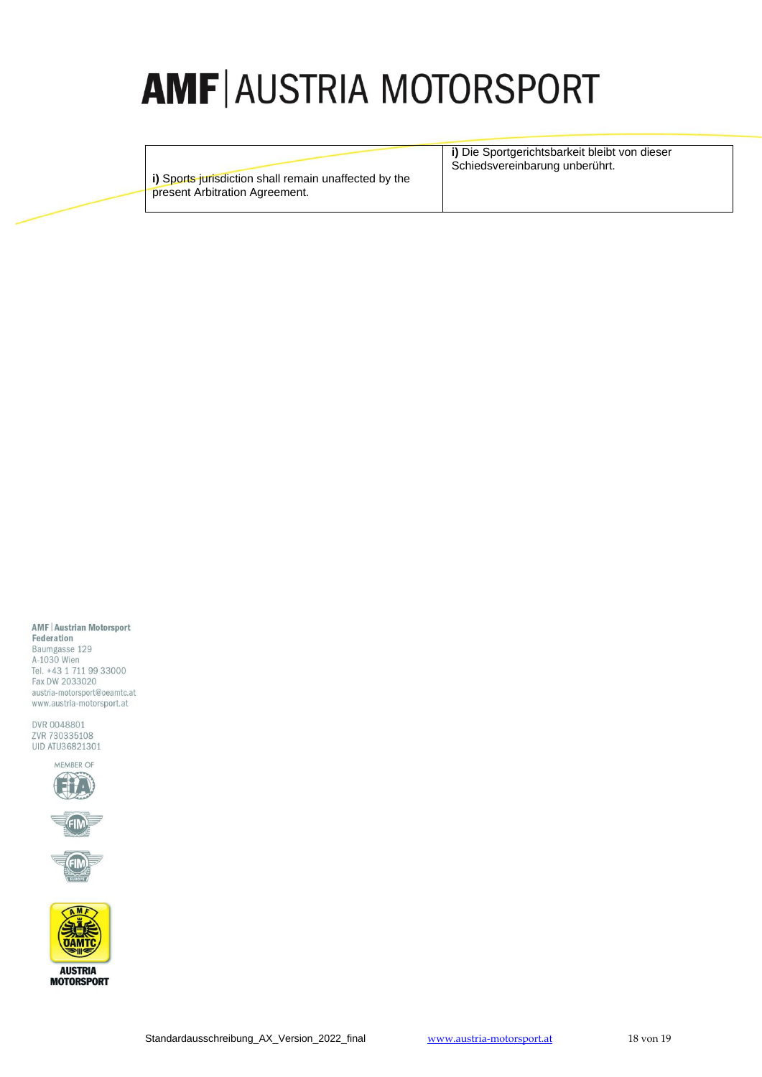**i)** Sports jurisdiction shall remain unaffected by the present Arbitration Agreement.

**i)** Die Sportgerichtsbarkeit bleibt von dieser Schiedsvereinbarung unberührt.

#### **AMF | Austrian Motorsport**

Federation Baumgasse 129 A-1030 Wien Tel. +43 1 711 99 33000 Fax DW 2033020 austria-motorsport@oeamtc.at www.austria-motorsport.at